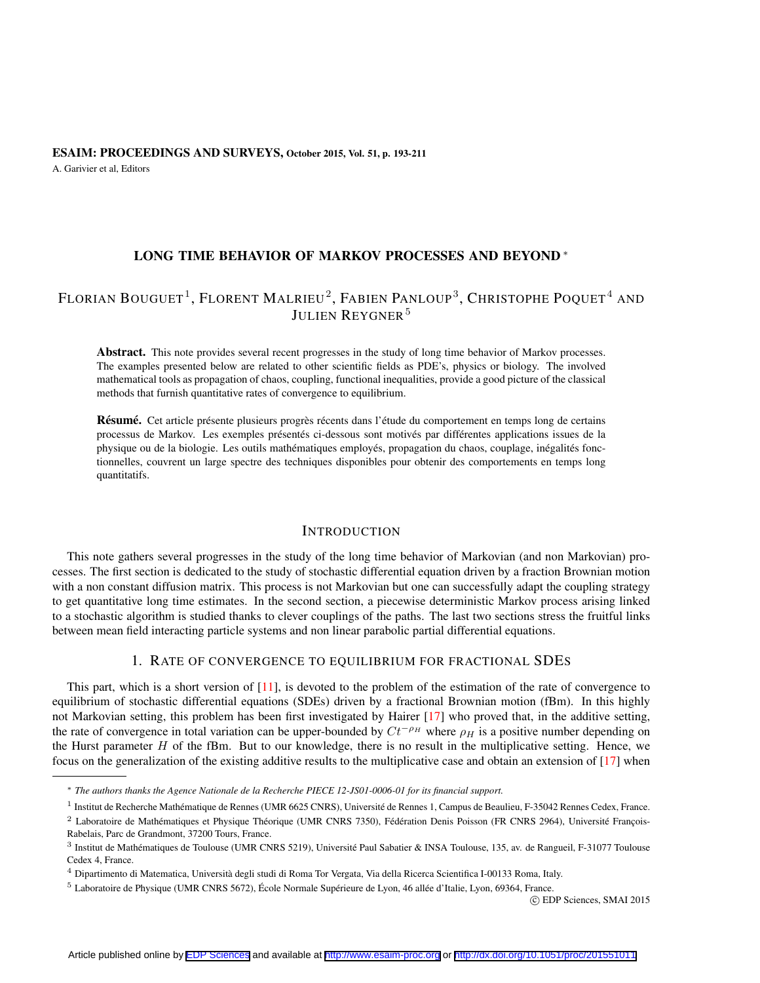# ESAIM: PROCEEDINGS AND SURVEYS, October 2015, Vol. 51, p. 193-211 A. Garivier et al, Editors

# LONG TIME BEHAVIOR OF MARKOV PROCESSES AND BEYOND <sup>∗</sup>

# Florian Bouguet $^1$ , Florent Malrieu $^2$ , Fabien Panloup $^3$ , Christophe Poquet $^4$  and JULIEN REYGNER<sup>5</sup>

Abstract. This note provides several recent progresses in the study of long time behavior of Markov processes. The examples presented below are related to other scientific fields as PDE's, physics or biology. The involved mathematical tools as propagation of chaos, coupling, functional inequalities, provide a good picture of the classical methods that furnish quantitative rates of convergence to equilibrium.

Résumé. Cet article présente plusieurs progrès récents dans l'étude du comportement en temps long de certains processus de Markov. Les exemples présentés ci-dessous sont motivés par différentes applications issues de la physique ou de la biologie. Les outils mathématiques employés, propagation du chaos, couplage, inégalités fonctionnelles, couvrent un large spectre des techniques disponibles pour obtenir des comportements en temps long quantitatifs.

# **INTRODUCTION**

This note gathers several progresses in the study of the long time behavior of Markovian (and non Markovian) processes. The first section is dedicated to the study of stochastic differential equation driven by a fraction Brownian motion with a non constant diffusion matrix. This process is not Markovian but one can successfully adapt the coupling strategy to get quantitative long time estimates. In the second section, a piecewise deterministic Markov process arising linked to a stochastic algorithm is studied thanks to clever couplings of the paths. The last two sections stress the fruitful links between mean field interacting particle systems and non linear parabolic partial differential equations.

# 1. RATE OF CONVERGENCE TO EQUILIBRIUM FOR FRACTIONAL SDES

This part, which is a short version of [\[11\]](#page-17-0), is devoted to the problem of the estimation of the rate of convergence to equilibrium of stochastic differential equations (SDEs) driven by a fractional Brownian motion (fBm). In this highly not Markovian setting, this problem has been first investigated by Hairer [\[17\]](#page-17-1) who proved that, in the additive setting, the rate of convergence in total variation can be upper-bounded by  $Ct^{-\rho_H}$  where  $\rho_H$  is a positive number depending on the Hurst parameter *H* of the fBm. But to our knowledge, there is no result in the multiplicative setting. Hence, we focus on the generalization of the existing additive results to the multiplicative case and obtain an extension of [\[17\]](#page-17-1) when

c EDP Sciences, SMAI 2015

<sup>∗</sup> *The authors thanks the Agence Nationale de la Recherche PIECE 12-JS01-0006-01 for its financial support.*

<sup>&</sup>lt;sup>1</sup> Institut de Recherche Mathématique de Rennes (UMR 6625 CNRS), Université de Rennes 1, Campus de Beaulieu, F-35042 Rennes Cedex, France.

 $2$  Laboratoire de Mathématiques et Physique Théorique (UMR CNRS 7350), Fédération Denis Poisson (FR CNRS 2964), Université François-Rabelais, Parc de Grandmont, 37200 Tours, France.

<sup>&</sup>lt;sup>3</sup> Institut de Mathématiques de Toulouse (UMR CNRS 5219), Université Paul Sabatier & INSA Toulouse, 135, av. de Rangueil, F-31077 Toulouse Cedex 4, France.

<sup>4</sup> Dipartimento di Matematica, Universita degli studi di Roma Tor Vergata, Via della Ricerca Scientifica I-00133 Roma, Italy. `

<sup>&</sup>lt;sup>5</sup> Laboratoire de Physique (UMR CNRS 5672), École Normale Supérieure de Lyon, 46 allée d'Italie, Lyon, 69364, France.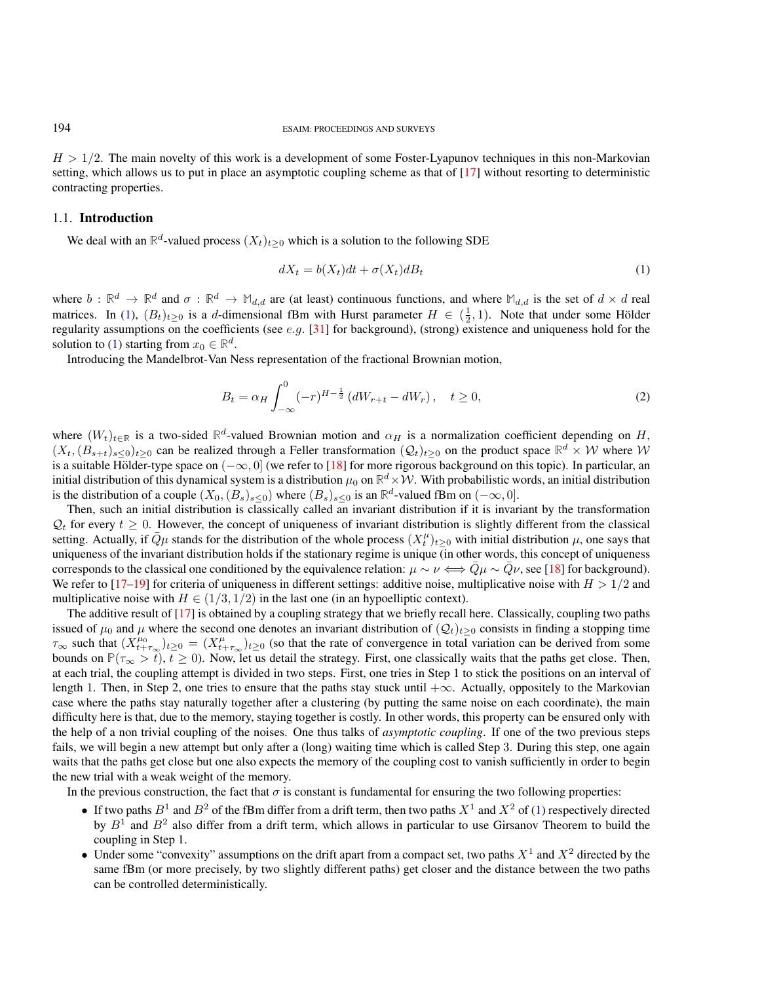*H >* 1/2. The main novelty of this work is a development of some Foster-Lyapunov techniques in this non-Markovian setting, which allows us to put in place an asymptotic coupling scheme as that of [\[17\]](#page-17-1) without resorting to deterministic contracting properties.

### 1.1. Introduction

We deal with an  $\mathbb{R}^d$ -valued process  $(X_t)_{t\geq 0}$  which is a solution to the following SDE

<span id="page-1-0"></span>
$$
dX_t = b(X_t)dt + \sigma(X_t)dB_t
$$
\n<sup>(1)</sup>

where  $b: \mathbb{R}^d \to \mathbb{R}^d$  and  $\sigma: \mathbb{R}^d \to \mathbb{M}_{d,d}$  are (at least) continuous functions, and where  $\mathbb{M}_{d,d}$  is the set of  $d \times d$  real matrices. In [\(1\)](#page-1-0),  $(B_t)_{t\geq 0}$  is a *d*-dimensional fBm with Hurst parameter  $H \in (\frac{1}{2}, 1)$ . Note that under some Hölder regularity assumptions on the coefficients (see *e.g.* [\[31\]](#page-18-0) for background), (strong) existence and uniqueness hold for the solution to [\(1\)](#page-1-0) starting from  $x_0 \in \mathbb{R}^d$ .

Introducing the Mandelbrot-Van Ness representation of the fractional Brownian motion,

$$
B_t = \alpha_H \int_{-\infty}^0 (-r)^{H-\frac{1}{2}} \left( dW_{r+t} - dW_r \right), \quad t \ge 0,
$$
\n(2)

where  $(W_t)_{t\in\mathbb{R}}$  is a two-sided  $\mathbb{R}^d$ -valued Brownian motion and  $\alpha_H$  is a normalization coefficient depending on *H*,  $(X_t, (B_{s+t})_{s\leq 0})_{t\geq 0}$  can be realized through a Feller transformation  $(Q_t)_{t\geq 0}$  on the product space  $\mathbb{R}^d \times W$  where W is a suitable Hölder-type space on  $(-\infty, 0]$  (we refer to [\[18\]](#page-17-2) for more rigorous background on this topic). In particular, an initial distribution of this dynamical system is a distribution  $\mu_0$  on  $\R^d\times\mathcal{W}.$  With probabilistic words, an initial distribution is the distribution of a couple  $(X_0, (B_s)_{s \leq 0})$  where  $(B_s)_{s \leq 0}$  is an  $\mathbb{R}^d$ -valued fBm on  $(-\infty, 0]$ .

Then, such an initial distribution is classically called an invariant distribution if it is invariant by the transformation  $Q_t$  for every  $t \geq 0$ . However, the concept of uniqueness of invariant distribution is slightly different from the classical setting. Actually, if  $\bar{Q}\mu$  stands for the distribution of the whole process  $(X_t^{\mu})_{t\geq0}$  with initial distribution  $\mu$ , one says that uniqueness of the invariant distribution holds if the stationary regime is unique (in other words, this concept of uniqueness corresponds to the classical one conditioned by the equivalence relation:  $\mu \sim \nu \iff Q\mu \sim Q\nu$ , see [\[18\]](#page-17-2) for background). We refer to [\[17](#page-17-1)[–19\]](#page-17-3) for criteria of uniqueness in different settings: additive noise, multiplicative noise with *H >* 1*/*2 and multiplicative noise with  $H \in (1/3, 1/2)$  in the last one (in an hypoelliptic context).

The additive result of [\[17\]](#page-17-1) is obtained by a coupling strategy that we briefly recall here. Classically, coupling two paths issued of  $\mu_0$  and  $\mu$  where the second one denotes an invariant distribution of  $(Q_t)_{t\geq0}$  consists in finding a stopping time  $\tau_{\infty}$  such that  $(X_{t+\tau_{\infty}}^{\mu_0})_{t\geq 0} = (X_{t+\tau_{\infty}}^{\mu})_{t\geq 0}$  (so that the rate of convergence in total variation can be derived from some bounds on  $\mathbb{P}(\tau_{\infty} > t)$ ,  $t \geq 0$ ). Now, let us detail the strategy. First, one classically waits that the paths get close. Then, at each trial, the coupling attempt is divided in two steps. First, one tries in Step 1 to stick the positions on an interval of length 1. Then, in Step 2, one tries to ensure that the paths stay stuck until  $+\infty$ . Actually, oppositely to the Markovian case where the paths stay naturally together after a clustering (by putting the same noise on each coordinate), the main difficulty here is that, due to the memory, staying together is costly. In other words, this property can be ensured only with the help of a non trivial coupling of the noises. One thus talks of *asymptotic coupling*. If one of the two previous steps fails, we will begin a new attempt but only after a (long) waiting time which is called Step 3. During this step, one again waits that the paths get close but one also expects the memory of the coupling cost to vanish sufficiently in order to begin the new trial with a weak weight of the memory.

In the previous construction, the fact that  $\sigma$  is constant is fundamental for ensuring the two following properties:

- If two paths  $B^1$  and  $B^2$  of the fBm differ from a drift term, then two paths  $X^1$  and  $X^2$  of [\(1\)](#page-1-0) respectively directed by  $B<sup>1</sup>$  and  $B<sup>2</sup>$  also differ from a drift term, which allows in particular to use Girsanov Theorem to build the coupling in Step 1.
- Under some "convexity" assumptions on the drift apart from a compact set, two paths  $X<sup>1</sup>$  and  $X<sup>2</sup>$  directed by the same fBm (or more precisely, by two slightly different paths) get closer and the distance between the two paths can be controlled deterministically.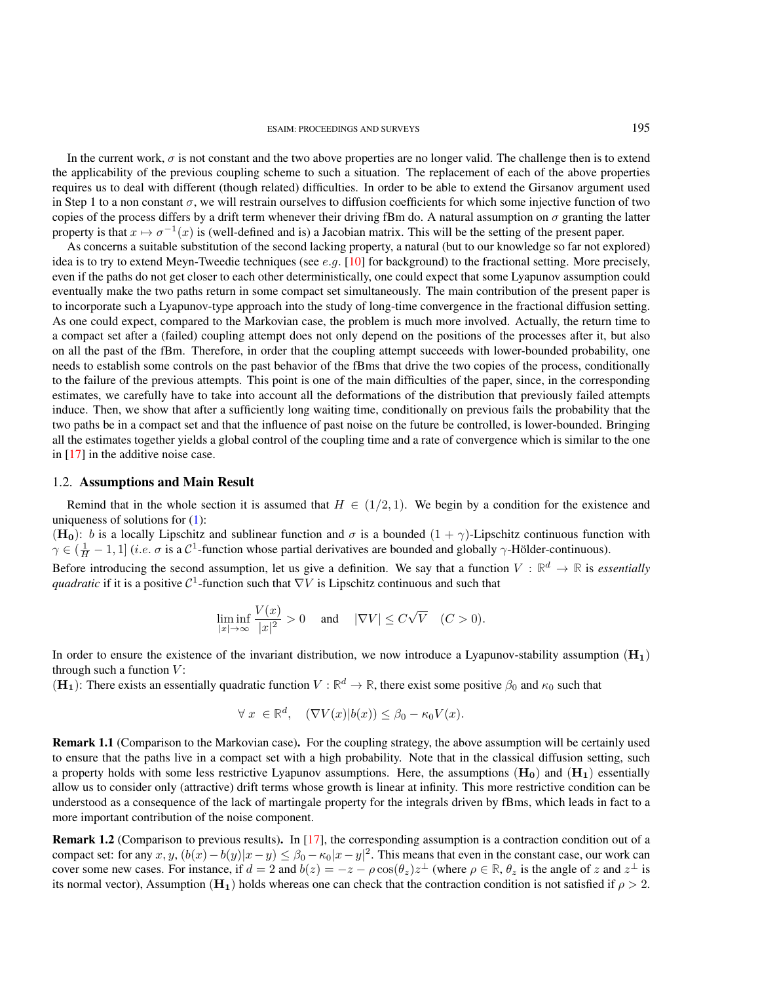In the current work,  $\sigma$  is not constant and the two above properties are no longer valid. The challenge then is to extend the applicability of the previous coupling scheme to such a situation. The replacement of each of the above properties requires us to deal with different (though related) difficulties. In order to be able to extend the Girsanov argument used in Step 1 to a non constant  $\sigma$ , we will restrain ourselves to diffusion coefficients for which some injective function of two copies of the process differs by a drift term whenever their driving fBm do. A natural assumption on  $\sigma$  granting the latter property is that  $x \mapsto \sigma^{-1}(x)$  is (well-defined and is) a Jacobian matrix. This will be the setting of the present paper.

As concerns a suitable substitution of the second lacking property, a natural (but to our knowledge so far not explored) idea is to try to extend Meyn-Tweedie techniques (see *e.g.* [\[10\]](#page-17-4) for background) to the fractional setting. More precisely, even if the paths do not get closer to each other deterministically, one could expect that some Lyapunov assumption could eventually make the two paths return in some compact set simultaneously. The main contribution of the present paper is to incorporate such a Lyapunov-type approach into the study of long-time convergence in the fractional diffusion setting. As one could expect, compared to the Markovian case, the problem is much more involved. Actually, the return time to a compact set after a (failed) coupling attempt does not only depend on the positions of the processes after it, but also on all the past of the fBm. Therefore, in order that the coupling attempt succeeds with lower-bounded probability, one needs to establish some controls on the past behavior of the fBms that drive the two copies of the process, conditionally to the failure of the previous attempts. This point is one of the main difficulties of the paper, since, in the corresponding estimates, we carefully have to take into account all the deformations of the distribution that previously failed attempts induce. Then, we show that after a sufficiently long waiting time, conditionally on previous fails the probability that the two paths be in a compact set and that the influence of past noise on the future be controlled, is lower-bounded. Bringing all the estimates together yields a global control of the coupling time and a rate of convergence which is similar to the one in [\[17\]](#page-17-1) in the additive noise case.

#### 1.2. Assumptions and Main Result

Remind that in the whole section it is assumed that  $H \in (1/2, 1)$ . We begin by a condition for the existence and uniqueness of solutions for  $(1)$ :

(**H**<sub>0</sub>): *b* is a locally Lipschitz and sublinear function and  $\sigma$  is a bounded  $(1 + \gamma)$ -Lipschitz continuous function with  $\gamma \in (\frac{1}{H} - 1, 1]$  (*i.e.*  $\sigma$  is a C<sup>1</sup>-function whose partial derivatives are bounded and globally  $\gamma$ -Hölder-continuous).

Before introducing the second assumption, let us give a definition. We say that a function  $V : \mathbb{R}^d \to \mathbb{R}$  is *essentially quadratic* if it is a positive  $C^1$ -function such that  $\nabla V$  is Lipschitz continuous and such that

$$
\liminf_{|x|\to\infty}\frac{V(x)}{|x|^2}>0\quad\text{ and }\quad|\nabla V|\leq C\sqrt{V}\quad(C>0).
$$

In order to ensure the existence of the invariant distribution, we now introduce a Lyapunov-stability assumption  $(\mathbf{H}_1)$ through such a function *V* :

 $(H_1)$ : There exists an essentially quadratic function  $V : \mathbb{R}^d \to \mathbb{R}$ , there exist some positive  $\beta_0$  and  $\kappa_0$  such that

$$
\forall x \in \mathbb{R}^d, \quad (\nabla V(x)|b(x)) \le \beta_0 - \kappa_0 V(x).
$$

Remark 1.1 (Comparison to the Markovian case). For the coupling strategy, the above assumption will be certainly used to ensure that the paths live in a compact set with a high probability. Note that in the classical diffusion setting, such a property holds with some less restrictive Lyapunov assumptions. Here, the assumptions  $(\mathbf{H_0})$  and  $(\mathbf{H_1})$  essentially allow us to consider only (attractive) drift terms whose growth is linear at infinity. This more restrictive condition can be understood as a consequence of the lack of martingale property for the integrals driven by fBms, which leads in fact to a more important contribution of the noise component.

Remark 1.2 (Comparison to previous results). In [\[17\]](#page-17-1), the corresponding assumption is a contraction condition out of a compact set: for any  $x, y$ ,  $(b(x) - b(y)|x - y) \le \beta_0 - \kappa_0 |x - y|^2$ . This means that even in the constant case, our work can cover some new cases. For instance, if  $d = 2$  and  $b(z) = -z - \rho \cos(\theta_z) z^{\perp}$  (where  $\rho \in \mathbb{R}$ ,  $\theta_z$  is the angle of *z* and  $z^{\perp}$  is its normal vector), Assumption (**H1**) holds whereas one can check that the contraction condition is not satisfied if *ρ >* 2.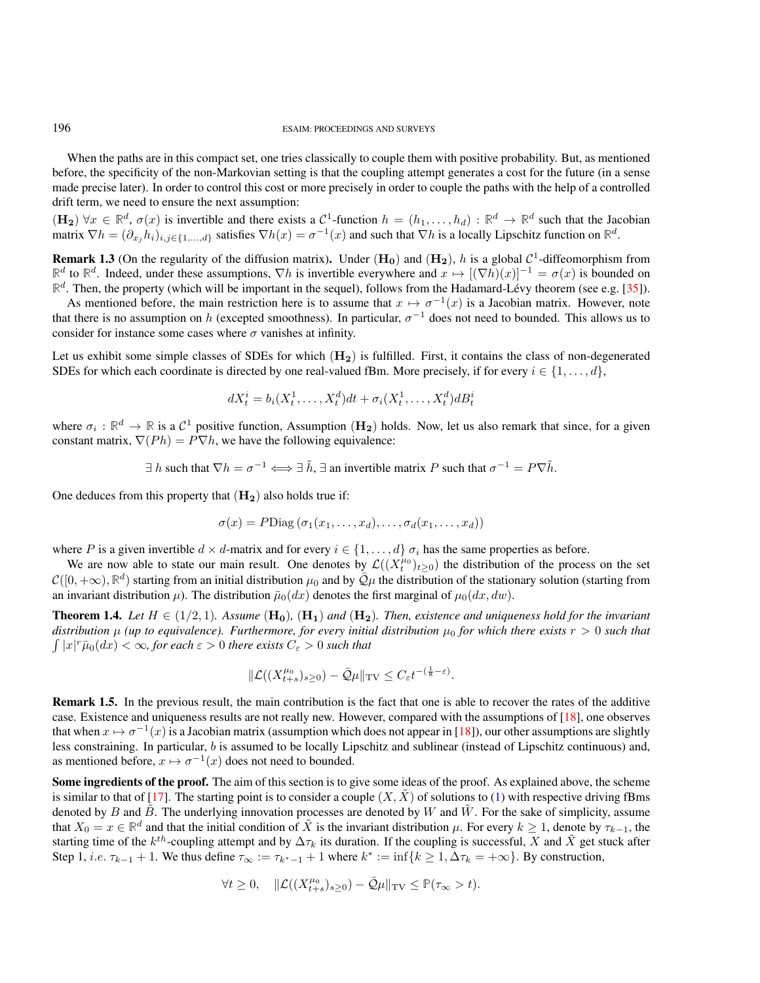When the paths are in this compact set, one tries classically to couple them with positive probability. But, as mentioned before, the specificity of the non-Markovian setting is that the coupling attempt generates a cost for the future (in a sense made precise later). In order to control this cost or more precisely in order to couple the paths with the help of a controlled drift term, we need to ensure the next assumption:

 $(\mathbf{H_2}) \forall x \in \mathbb{R}^d$ ,  $\sigma(x)$  is invertible and there exists a  $\mathcal{C}^1$ -function  $h = (h_1, \ldots, h_d) : \mathbb{R}^d \to \mathbb{R}^d$  such that the Jacobian matrix  $\nabla h = (\partial_{x_j} h_i)_{i,j \in \{1,...,d\}}$  satisfies  $\nabla h(x) = \sigma^{-1}(x)$  and such that  $\nabla h$  is a locally Lipschitz function on  $\mathbb{R}^d$ .

**Remark 1.3** (On the regularity of the diffusion matrix). Under  $(H_0)$  and  $(H_2)$ , h is a global  $C^1$ -diffeomorphism from  $\mathbb{R}^d$  to  $\mathbb{R}^d$ . Indeed, under these assumptions,  $\nabla h$  is invertible everywhere and  $x \mapsto [(\nabla h)(x)]^{-1} = \sigma(x)$  is bounded on  $\mathbb{R}^d$ . Then, the property (which will be important in the sequel), follows from the Hadamard-Lévy theorem (see e.g. [[35\]](#page-18-1)).

As mentioned before, the main restriction here is to assume that  $x \mapsto \sigma^{-1}(x)$  is a Jacobian matrix. However, note that there is no assumption on *h* (excepted smoothness). In particular,  $\sigma^{-1}$  does not need to bounded. This allows us to consider for instance some cases where  $\sigma$  vanishes at infinity.

Let us exhibit some simple classes of SDEs for which (**H2**) is fulfilled. First, it contains the class of non-degenerated SDEs for which each coordinate is directed by one real-valued fBm. More precisely, if for every  $i \in \{1, \ldots, d\}$ ,

$$
dX_t^i = b_i(X_t^1, \dots, X_t^d)dt + \sigma_i(X_t^1, \dots, X_t^d)dB_t^i
$$

where  $\sigma_i$ :  $\mathbb{R}^d \to \mathbb{R}$  is a  $\mathcal{C}^1$  positive function, Assumption  $(\mathbf{H}_2)$  holds. Now, let us also remark that since, for a given constant matrix,  $\nabla (Ph) = P \nabla h$ , we have the following equivalence:

 $\exists h$  such that  $\nabla h = \sigma^{-1} \Longleftrightarrow \exists \tilde{h}, \exists$  an invertible matrix P such that  $\sigma^{-1} = P \nabla \tilde{h}$ .

One deduces from this property that (**H2**) also holds true if:

$$
\sigma(x) = P\mathrm{Diag}\left(\sigma_1(x_1,\ldots,x_d),\ldots,\sigma_d(x_1,\ldots,x_d)\right)
$$

where *P* is a given invertible  $d \times d$ -matrix and for every  $i \in \{1, \ldots, d\}$   $\sigma_i$  has the same properties as before.

We are now able to state our main result. One denotes by  $\mathcal{L}((X_t^{\mu_0})_{t\geq0})$  the distribution of the process on the set  $\mathcal{C}([0,+\infty),\mathbb{R}^d)$  starting from an initial distribution  $\mu_0$  and by  $\overline{Q}\mu$  the distribution of the stationary solution (starting from an invariant distribution  $\mu$ ). The distribution  $\bar{\mu}_0(dx)$  denotes the first marginal of  $\mu_0(dx, dw)$ .

<span id="page-3-0"></span>**Theorem 1.4.** Let  $H \in (1/2, 1)$ . Assume  $(\mathbf{H_0})$ ,  $(\mathbf{H_1})$  and  $(\mathbf{H_2})$ . Then, existence and uniqueness hold for the invariant *distribution*  $\mu$  (up to equivalence). Furthermore, for every initial distribution  $\mu_0$  for which there exists  $r > 0$  such that  $\int |x|^r \bar{\mu}_0(dx) < \infty$ , for each  $\varepsilon > 0$  there exists  $C_{\varepsilon} > 0$  such that

$$
\|\mathcal{L}((X_{t+s}^{\mu_0})_{s\geq 0})-\bar{\mathcal{Q}}\mu\|_{\mathrm{TV}}\leq C_{\varepsilon}t^{-(\frac{1}{8}-\varepsilon)}.
$$

Remark 1.5. In the previous result, the main contribution is the fact that one is able to recover the rates of the additive case. Existence and uniqueness results are not really new. However, compared with the assumptions of [\[18\]](#page-17-2), one observes that when  $x \mapsto \sigma^{-1}(x)$  is a Jacobian matrix (assumption which does not appear in [\[18\]](#page-17-2)), our other assumptions are slightly less constraining. In particular, *b* is assumed to be locally Lipschitz and sublinear (instead of Lipschitz continuous) and, as mentioned before,  $x \mapsto \sigma^{-1}(x)$  does not need to bounded.

Some ingredients of the proof. The aim of this section is to give some ideas of the proof. As explained above, the scheme is similar to that of [\[17\]](#page-17-1). The starting point is to consider a couple  $(X, \tilde{X})$  of solutions to [\(1\)](#page-1-0) with respective driving fBms denoted by *B* and  $\tilde{B}$ . The underlying innovation processes are denoted by *W* and  $\tilde{W}$ . For the sake of simplicity, assume that  $X_0 = x \in \mathbb{R}^d$  and that the initial condition of  $\tilde{X}$  is the invariant distribution  $\mu$ . For every  $k \ge 1$ , denote by  $\tau_{k-1}$ , the starting time of the  $k^{th}$ -coupling attempt and by  $\Delta\tau_k$  its duration. If the coupling is successful, *X* and  $\tilde{X}$  get stuck after Step 1, *i.e.*  $\tau_{k-1} + 1$ . We thus define  $\tau_{\infty} := \tau_{k^* - 1} + 1$  where  $k^* := \inf\{k \geq 1, \Delta \tau_k = +\infty\}$ . By construction,

$$
\forall t \geq 0, \quad \|\mathcal{L}((X_{t+s}^{\mu_0})_{s\geq 0}) - \bar{\mathcal{Q}}\mu\|_{\mathrm{TV}} \leq \mathbb{P}(\tau_{\infty} > t).
$$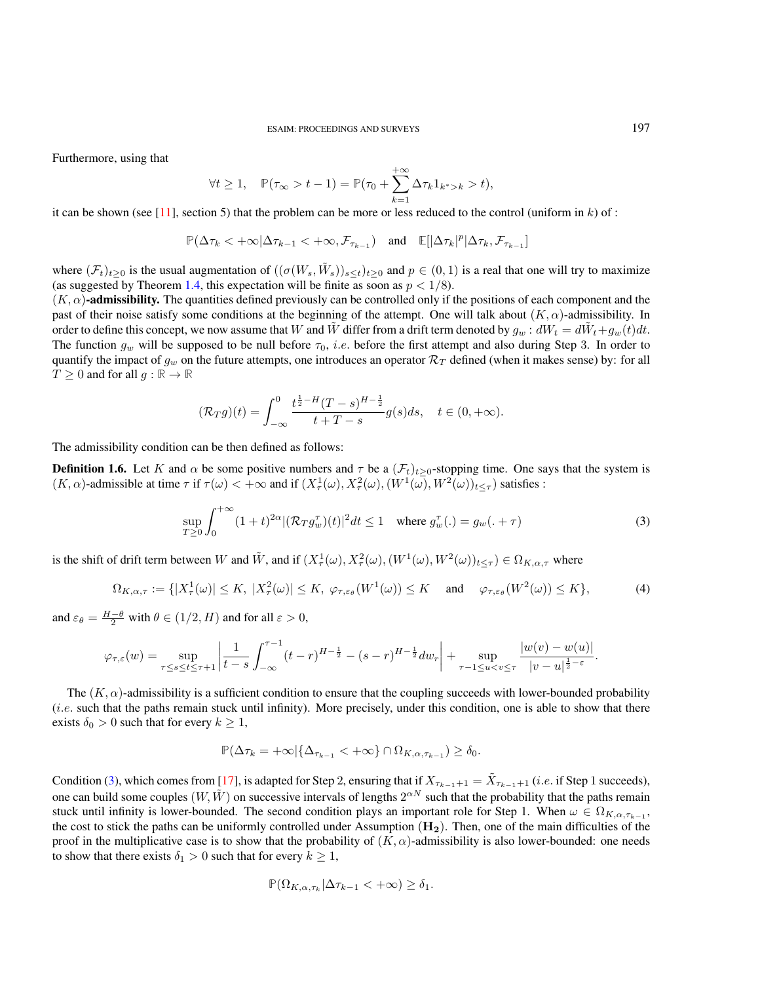Furthermore, using that

$$
\forall t \geq 1, \quad \mathbb{P}(\tau_{\infty} > t - 1) = \mathbb{P}(\tau_0 + \sum_{k=1}^{+\infty} \Delta \tau_k \mathbb{1}_{k^* > k} > t),
$$

it can be shown (see [\[11\]](#page-17-0), section 5) that the problem can be more or less reduced to the control (uniform in *k*) of :

$$
\mathbb{P}(\Delta \tau_k < +\infty | \Delta \tau_{k-1} < +\infty, \mathcal{F}_{\tau_{k-1}}) \quad \text{and} \quad \mathbb{E}[|\Delta \tau_k|^p |\Delta \tau_k, \mathcal{F}_{\tau_{k-1}}]
$$

where  $(\mathcal{F}_t)_{t\geq0}$  is the usual augmentation of  $((\sigma(W_s, \tilde{W}_s))_{s\leq t})_{t\geq0}$  and  $p\in(0,1)$  is a real that one will try to maximize (as suggested by Theorem [1.4,](#page-3-0) this expectation will be finite as soon as  $p < 1/8$ ).

 $(K, \alpha)$ -admissibility. The quantities defined previously can be controlled only if the positions of each component and the past of their noise satisfy some conditions at the beginning of the attempt. One will talk about  $(K, \alpha)$ -admissibility. In order to define this concept, we now assume that *W* and  $\tilde{W}$  differ from a drift term denoted by  $g_w : dW_t = d\tilde{W}_t + g_w(t)dt$ . The function *g<sup>w</sup>* will be supposed to be null before *τ*0, *i.e.* before the first attempt and also during Step 3. In order to quantify the impact of  $g_w$  on the future attempts, one introduces an operator  $\mathcal{R}_T$  defined (when it makes sense) by: for all  $T \geq 0$  and for all  $g : \mathbb{R} \to \mathbb{R}$ 

$$
(\mathcal{R}_T g)(t) = \int_{-\infty}^0 \frac{t^{\frac{1}{2}-H}(T-s)^{H-\frac{1}{2}}}{t+T-s} g(s)ds, \quad t \in (0, +\infty).
$$

The admissibility condition can be then defined as follows:

**Definition 1.6.** Let *K* and  $\alpha$  be some positive numbers and  $\tau$  be a  $(\mathcal{F}_t)_{t>0}$ -stopping time. One says that the system is  $(K, \alpha)$ -admissible at time  $\tau$  if  $\tau(\omega) < +\infty$  and if  $(X_\tau^1(\omega), X_\tau^2(\omega), (W^1(\omega), W^2(\omega))_{t \leq \tau})$  satisfies :

<span id="page-4-0"></span>
$$
\sup_{T\geq 0} \int_0^{+\infty} (1+t)^{2\alpha} |(\mathcal{R}_T g_w^{\tau})(t)|^2 dt \leq 1 \quad \text{where } g_w^{\tau}(\cdot) = g_w(\cdot + \tau)
$$
\n(3)

is the shift of drift term between *W* and  $\tilde{W}$ , and if  $(X_{\tau}^1(\omega), X_{\tau}^2(\omega), (W^1(\omega), W^2(\omega))_{t \leq \tau}) \in \Omega_{K, \alpha, \tau}$  where

$$
\Omega_{K,\alpha,\tau} := \{ |X^1_\tau(\omega)| \le K, \ |X^2_\tau(\omega)| \le K, \ \varphi_{\tau,\varepsilon_\theta}(W^1(\omega)) \le K \quad \text{and} \quad \varphi_{\tau,\varepsilon_\theta}(W^2(\omega)) \le K \},\tag{4}
$$

and  $\varepsilon_{\theta} = \frac{H-\theta}{2}$  with  $\theta \in (1/2, H)$  and for all  $\varepsilon > 0$ ,

$$
\varphi_{\tau,\varepsilon}(w) = \sup_{\tau \le s \le t \le \tau+1} \left| \frac{1}{t-s} \int_{-\infty}^{\tau-1} (t-r)^{H-\frac{1}{2}} - (s-r)^{H-\frac{1}{2}} dw_r \right| + \sup_{\tau-1 \le u < v \le \tau} \frac{|w(v) - w(u)|}{|v - u|^{\frac{1}{2}-\varepsilon}}.
$$

The  $(K, \alpha)$ -admissibility is a sufficient condition to ensure that the coupling succeeds with lower-bounded probability (*i.e.* such that the paths remain stuck until infinity). More precisely, under this condition, one is able to show that there exists  $\delta_0 > 0$  such that for every  $k \geq 1$ ,

$$
\mathbb{P}(\Delta \tau_k = +\infty | \{ \Delta_{\tau_{k-1}} < +\infty \} \cap \Omega_{K,\alpha,\tau_{k-1}}) \ge \delta_0.
$$

Condition [\(3\)](#page-4-0), which comes from [\[17\]](#page-17-1), is adapted for Step 2, ensuring that if  $X_{\tau_{k-1}+1} = \tilde{X}_{\tau_{k-1}+1}$  (*i.e.* if Step 1 succeeds), one can build some couples  $(W, \tilde{W})$  on successive intervals of lengths  $2^{\alpha N}$  such that the probability that the paths remain stuck until infinity is lower-bounded. The second condition plays an important role for Step 1. When  $\omega \in \Omega_{K,\alpha,\tau_{k-1}}$ , the cost to stick the paths can be uniformly controlled under Assumption (**H2**). Then, one of the main difficulties of the proof in the multiplicative case is to show that the probability of  $(K, \alpha)$ -admissibility is also lower-bounded: one needs to show that there exists  $\delta_1 > 0$  such that for every  $k \geq 1$ ,

$$
\mathbb{P}(\Omega_{K,\alpha,\tau_k}|\Delta\tau_{k-1}<+\infty)\geq \delta_1.
$$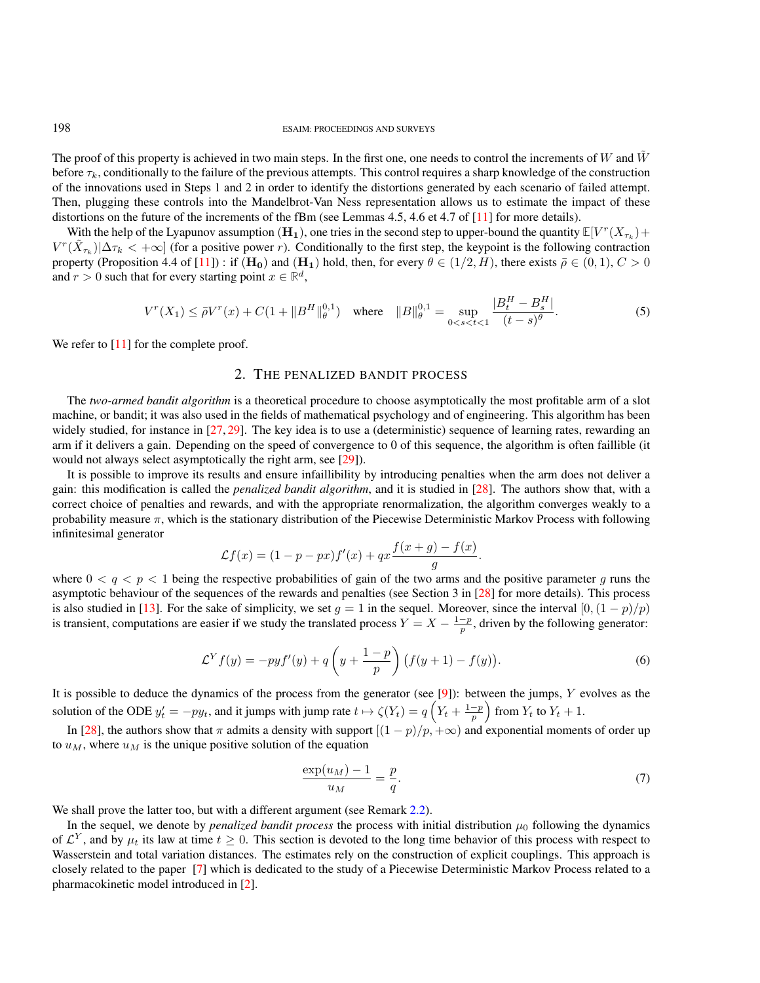The proof of this property is achieved in two main steps. In the first one, one needs to control the increments of *W* and *W*˜ before  $\tau_k$ , conditionally to the failure of the previous attempts. This control requires a sharp knowledge of the construction of the innovations used in Steps 1 and 2 in order to identify the distortions generated by each scenario of failed attempt. Then, plugging these controls into the Mandelbrot-Van Ness representation allows us to estimate the impact of these distortions on the future of the increments of the fBm (see Lemmas 4.5, 4.6 et 4.7 of [\[11\]](#page-17-0) for more details).

With the help of the Lyapunov assumption  $(H_1)$ , one tries in the second step to upper-bound the quantity  $\mathbb{E}[V^r(X_{\tau_k})+$  $V^r(\tilde{X}_{\tau_k})|\Delta \tau_k$  < +∞] (for a positive power *r*). Conditionally to the first step, the keypoint is the following contraction property (Proposition 4.4 of [\[11\]](#page-17-0)) : if ( $\mathbf{H}_0$ ) and ( $\mathbf{H}_1$ ) hold, then, for every  $\theta \in (1/2, H)$ , there exists  $\bar{\rho} \in (0, 1)$ ,  $C > 0$ and  $r > 0$  such that for every starting point  $x \in \mathbb{R}^d$ ,

$$
V^{r}(X_{1}) \leq \bar{\rho}V^{r}(x) + C(1 + ||B^{H}||_{\theta}^{0,1}) \quad \text{where} \quad ||B||_{\theta}^{0,1} = \sup_{0 < s < t < 1} \frac{|B_{t}^{H} - B_{s}^{H}|}{(t - s)^{\theta}}.\tag{5}
$$

We refer to  $[11]$  for the complete proof.

## 2. THE PENALIZED BANDIT PROCESS

The *two-armed bandit algorithm* is a theoretical procedure to choose asymptotically the most profitable arm of a slot machine, or bandit; it was also used in the fields of mathematical psychology and of engineering. This algorithm has been widely studied, for instance in [\[27,](#page-18-2) [29\]](#page-18-3). The key idea is to use a (deterministic) sequence of learning rates, rewarding an arm if it delivers a gain. Depending on the speed of convergence to 0 of this sequence, the algorithm is often faillible (it would not always select asymptotically the right arm, see [\[29\]](#page-18-3)).

It is possible to improve its results and ensure infaillibility by introducing penalties when the arm does not deliver a gain: this modification is called the *penalized bandit algorithm*, and it is studied in [\[28\]](#page-18-4). The authors show that, with a correct choice of penalties and rewards, and with the appropriate renormalization, the algorithm converges weakly to a probability measure *π*, which is the stationary distribution of the Piecewise Deterministic Markov Process with following infinitesimal generator

$$
\mathcal{L}f(x) = (1 - p - px)f'(x) + qx\frac{f(x+g) - f(x)}{g}.
$$

where  $0 < q < p < 1$  being the respective probabilities of gain of the two arms and the positive parameter *g* runs the asymptotic behaviour of the sequences of the rewards and penalties (see Section 3 in [\[28\]](#page-18-4) for more details). This process is also studied in [\[13\]](#page-17-5). For the sake of simplicity, we set  $g = 1$  in the sequel. Moreover, since the interval  $[0, (1 - p)/p)$ is transient, computations are easier if we study the translated process  $Y = X - \frac{1-p}{p}$ , driven by the following generator:

<span id="page-5-0"></span>
$$
\mathcal{L}^Y f(y) = -pyf'(y) + q\left(y + \frac{1-p}{p}\right)\left(f(y+1) - f(y)\right). \tag{6}
$$

It is possible to deduce the dynamics of the process from the generator (see [\[9\]](#page-17-6)): between the jumps, *Y* evolves as the solution of the ODE  $y_t' = -py_t$ , and it jumps with jump rate  $t \mapsto \zeta(Y_t) = q\left(Y_t + \frac{1-p}{p}\right)$  from  $Y_t$  to  $Y_t + 1$ .

In [\[28\]](#page-18-4), the authors show that  $\pi$  admits a density with support  $[(1-p)/p, +\infty)$  and exponential moments of order up to  $u_M$ , where  $u_M$  is the unique positive solution of the equation

<span id="page-5-1"></span>
$$
\frac{\exp(u_M) - 1}{u_M} = \frac{p}{q}.\tag{7}
$$

We shall prove the latter too, but with a different argument (see Remark [2.2\)](#page-6-0).

In the sequel, we denote by *penalized bandit process* the process with initial distribution  $\mu_0$  following the dynamics of  $\mathcal{L}^Y$ , and by  $\mu_t$  its law at time  $t \geq 0$ . This section is devoted to the long time behavior of this process with respect to Wasserstein and total variation distances. The estimates rely on the construction of explicit couplings. This approach is closely related to the paper [\[7\]](#page-17-7) which is dedicated to the study of a Piecewise Deterministic Markov Process related to a pharmacokinetic model introduced in [\[2\]](#page-17-8).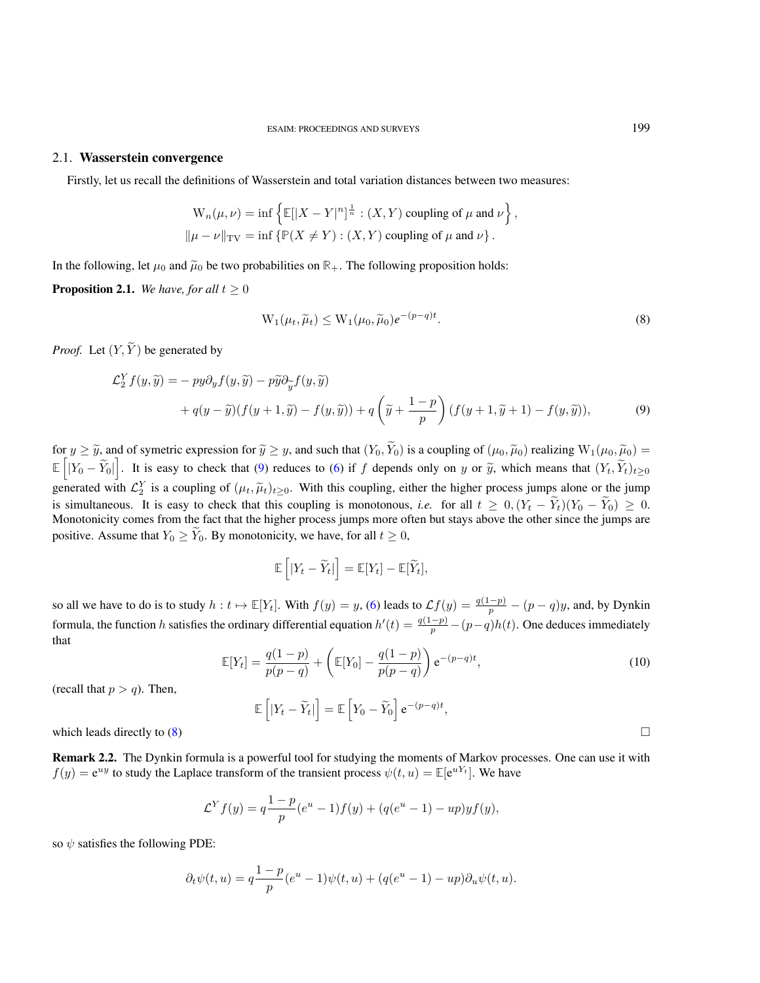## 2.1. Wasserstein convergence

Firstly, let us recall the definitions of Wasserstein and total variation distances between two measures:

$$
W_n(\mu, \nu) = \inf \left\{ \mathbb{E}[|X - Y|^n]^{\frac{1}{n}} : (X, Y) \text{ coupling of } \mu \text{ and } \nu \right\},\
$$
  

$$
\|\mu - \nu\|_{TV} = \inf \left\{ \mathbb{P}(X \neq Y) : (X, Y) \text{ coupling of } \mu \text{ and } \nu \right\}.
$$

In the following, let  $\mu_0$  and  $\tilde{\mu}_0$  be two probabilities on  $\mathbb{R}_+$ . The following proposition holds:

<span id="page-6-3"></span>**Proposition 2.1.** *We have, for all*  $t \geq 0$ 

<span id="page-6-2"></span><span id="page-6-1"></span>
$$
\mathrm{W}_{1}(\mu_{t}, \widetilde{\mu}_{t}) \le \mathrm{W}_{1}(\mu_{0}, \widetilde{\mu}_{0})e^{-(p-q)t}.\tag{8}
$$

*Proof.* Let  $(Y, \tilde{Y})$  be generated by

$$
\mathcal{L}_2^Y f(y, \tilde{y}) = -py \partial_y f(y, \tilde{y}) - p\tilde{y} \partial_{\tilde{y}} f(y, \tilde{y}) + q(y - \tilde{y})(f(y + 1, \tilde{y}) - f(y, \tilde{y})) + q\left(\tilde{y} + \frac{1 - p}{p}\right)(f(y + 1, \tilde{y} + 1) - f(y, \tilde{y})),
$$
(9)

for  $y \geq \tilde{y}$ , and of symetric expression for  $\tilde{y} \geq y$ , and such that  $(Y_0, \tilde{Y}_0)$  is a coupling of  $(\mu_0, \tilde{\mu}_0)$  realizing  $W_1(\mu_0, \tilde{\mu}_0)$  $\mathbb{E}\left[|Y_0 - \widetilde{Y}_0|\right]$ . It is easy to check that [\(9\)](#page-6-1) reduces to [\(6\)](#page-5-0) if *f* depends only on *y* or  $\widetilde{y}$ , which means that  $(Y_t, \widetilde{Y}_t)_{t \geq 0}$ generated with  $\mathcal{L}_2^Y$  is a coupling of  $(\mu_t, \tilde{\mu}_t)_{t \geq 0}$ . With this coupling, either the higher process jumps alone or the jump is simultaneous. It is easy to check that this coupling is monotonous, *i.e.* for all  $t \geq 0$ ,  $(Y_t - Y_t)(Y_0 - Y_0) \geq 0$ . Monotonicity comes from the fact that the higher process jumps more often but stays above the other since the jumps are positive. Assume that  $Y_0 \ge \tilde{Y}_0$ . By monotonicity, we have, for all  $t \ge 0$ ,

$$
\mathbb{E}\left[|Y_t - \widetilde{Y}_t|\right] = \mathbb{E}[Y_t] - \mathbb{E}[\widetilde{Y}_t],
$$

so all we have to do is to study  $h: t \mapsto \mathbb{E}[Y_t]$ . With  $f(y) = y$ , [\(6\)](#page-5-0) leads to  $\mathcal{L}f(y) = \frac{q(1-p)}{p} - (p-q)y$ , and, by Dynkin formula, the function *h* satisfies the ordinary differential equation  $h'(t) = \frac{q(1-p)}{p} - (p-q)h(t)$ . One deduces immediately that

$$
\mathbb{E}[Y_t] = \frac{q(1-p)}{p(p-q)} + \left(\mathbb{E}[Y_0] - \frac{q(1-p)}{p(p-q)}\right) e^{-(p-q)t},\tag{10}
$$

(recall that  $p > q$ ). Then,

 $\mathbb{E}\left[|Y_t - \widetilde{Y}_t|\right] = \mathbb{E}\left[Y_0 - \widetilde{Y}_0\right] e^{-(p-q)t},$ which leads directly to  $(8)$ 

<span id="page-6-0"></span>Remark 2.2. The Dynkin formula is a powerful tool for studying the moments of Markov processes. One can use it with  $f(y) = e^{uy}$  to study the Laplace transform of the transient process  $\psi(t, u) = \mathbb{E}[e^{uY_t}]$ . We have

$$
\mathcal{L}^{Y} f(y) = q \frac{1-p}{p} (e^{u} - 1) f(y) + (q(e^{u} - 1) - up) y f(y),
$$

so *ψ* satisfies the following PDE:

$$
\partial_t \psi(t, u) = q \frac{1-p}{p} (e^u - 1) \psi(t, u) + (q(e^u - 1) - up) \partial_u \psi(t, u).
$$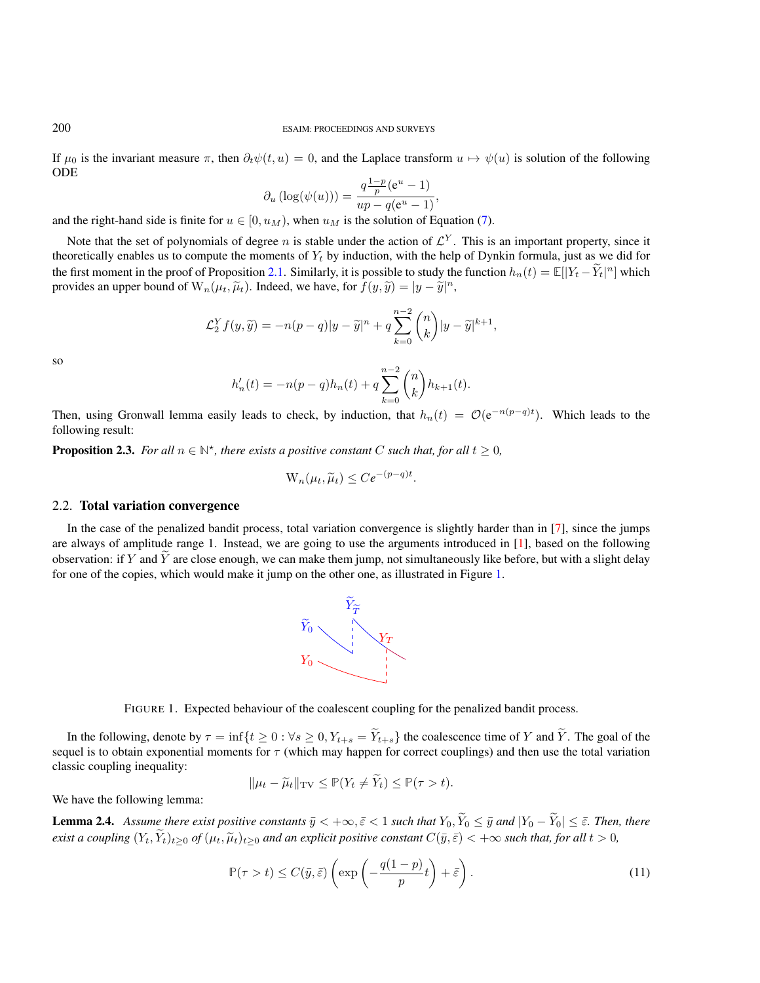If  $\mu_0$  is the invariant measure  $\pi$ , then  $\partial_t \psi(t, u) = 0$ , and the Laplace transform  $u \mapsto \psi(u)$  is solution of the following ODE

$$
\partial_u \left( \log(\psi(u)) \right) = \frac{q^{\frac{1-p}{p}}(e^u - 1)}{up - q(e^u - 1)},
$$

and the right-hand side is finite for  $u \in [0, u_M)$ , when  $u_M$  is the solution of Equation [\(7\)](#page-5-1).

Note that the set of polynomials of degree *n* is stable under the action of  $\mathcal{L}^Y$ . This is an important property, since it theoretically enables us to compute the moments of *Y<sup>t</sup>* by induction, with the help of Dynkin formula, just as we did for the first moment in the proof of Proposition [2.1.](#page-6-3) Similarly, it is possible to study the function  $h_n(t) = \mathbb{E}[|Y_t - \tilde{Y}_t|^n]$  which provides an upper bound of  $W_n(\mu_t, \tilde{\mu}_t)$ . Indeed, we have, for  $f(y, \tilde{y}) = |y - \tilde{y}|^n$ ,

$$
\mathcal{L}_2^Y f(y, \widetilde{y}) = -n(p-q)|y - \widetilde{y}|^n + q \sum_{k=0}^{n-2} {n \choose k} |y - \widetilde{y}|^{k+1},
$$

so

$$
h'_{n}(t) = -n(p-q)h_{n}(t) + q\sum_{k=0}^{n-2} {n \choose k} h_{k+1}(t).
$$

Then, using Gronwall lemma easily leads to check, by induction, that  $h_n(t) = \mathcal{O}(e^{-n(p-q)t})$ . Which leads to the following result:

**Proposition 2.3.** *For all*  $n \in \mathbb{N}^*$ *, there exists a positive constant C such that, for all*  $t \geq 0$ *,* 

$$
W_n(\mu_t, \widetilde{\mu}_t) \leq Ce^{-(p-q)t}.
$$

### 2.2. Total variation convergence

In the case of the penalized bandit process, total variation convergence is slightly harder than in [\[7\]](#page-17-7), since the jumps are always of amplitude range 1. Instead, we are going to use the arguments introduced in  $[1]$ , based on the following observation: if *Y* and  $\tilde{Y}$  are close enough, we can make them jump, not simultaneously like before, but with a slight delay for one of the copies, which would make it jump on the other one, as illustrated in Figure [1.](#page-7-0)



<span id="page-7-0"></span>FIGURE 1. Expected behaviour of the coalescent coupling for the penalized bandit process.

In the following, denote by  $\tau = \inf\{t \geq 0 : \forall s \geq 0, Y_{t+s} = \tilde{Y}_{t+s}\}$  the coalescence time of *Y* and  $\tilde{Y}$ . The goal of the sequel is to obtain exponential moments for *τ* (which may happen for correct couplings) and then use the total variation classic coupling inequality:

$$
\|\mu_t - \widetilde{\mu}_t\|_{\mathrm{TV}} \le \mathbb{P}(Y_t \ne Y_t) \le \mathbb{P}(\tau > t).
$$

We have the following lemma:

<span id="page-7-2"></span>**Lemma 2.4.** Assume there exist positive constants  $\bar{y} < +\infty, \bar{\varepsilon} < 1$  such that  $Y_0, \tilde{Y}_0 \leq \bar{y}$  and  $|Y_0 - \tilde{Y}_0| \leq \bar{\varepsilon}$ . Then, there exist a coupling  $(Y_t, \widetilde{Y}_t)_{t>0}$  of  $(\mu_t, \widetilde{\mu}_t)_{t>0}$  and an explicit positive constant  $C(\bar{y}, \bar{\varepsilon}) < +\infty$  such that, for all  $t > 0$ ,

<span id="page-7-1"></span>
$$
\mathbb{P}(\tau > t) \le C(\bar{y}, \bar{\varepsilon}) \left( \exp\left(-\frac{q(1-p)}{p}t\right) + \bar{\varepsilon} \right). \tag{11}
$$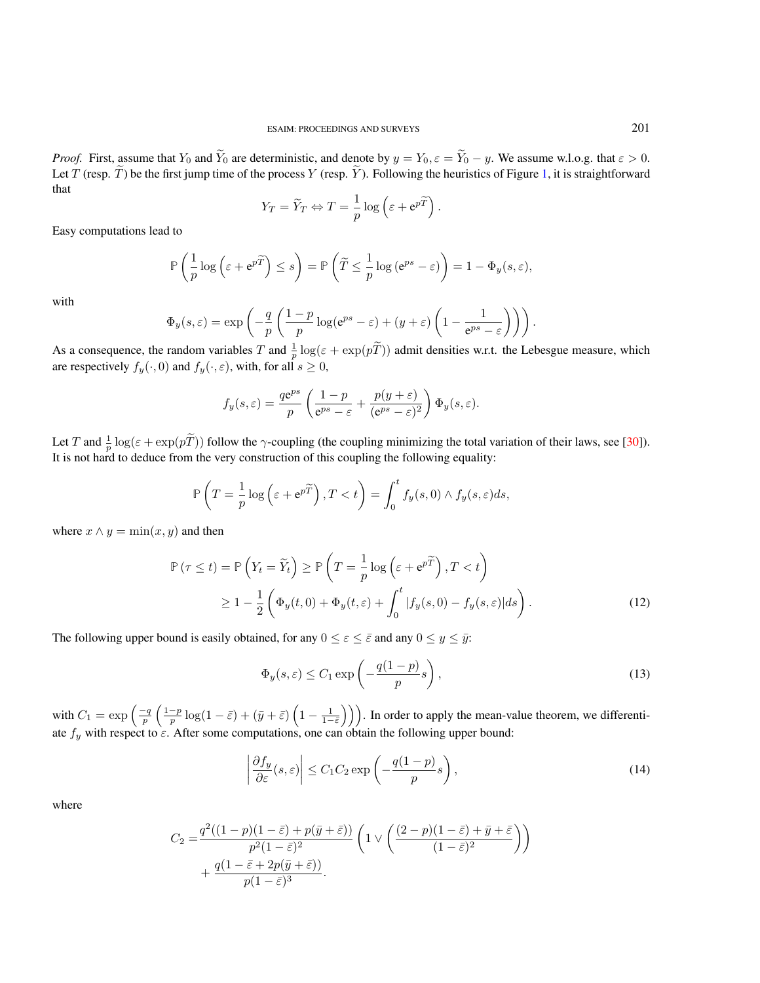*Proof.* First, assume that  $Y_0$  and  $\widetilde{Y}_0$  are deterministic, and denote by  $y = Y_0$ ,  $\varepsilon = \widetilde{Y}_0 - y$ . We assume w.l.o.g. that  $\varepsilon > 0$ . Let *T* (resp.  $\widetilde{T}$ ) be the first jump time of the process *Y* (resp.  $\widetilde{Y}$ ). Following the heuristics of Figure [1,](#page-7-0) it is straightforward that

$$
Y_T = \widetilde{Y}_T \Leftrightarrow T = \frac{1}{p} \log \left( \varepsilon + e^{p\widetilde{T}} \right).
$$

Easy computations lead to

$$
\mathbb{P}\left(\frac{1}{p}\log\left(\varepsilon+e^{p\widetilde{T}}\right)\leq s\right)=\mathbb{P}\left(\widetilde{T}\leq\frac{1}{p}\log\left(e^{ps}-\varepsilon\right)\right)=1-\Phi_y(s,\varepsilon),
$$

with

$$
\Phi_y(s,\varepsilon) = \exp\left(-\frac{q}{p}\left(\frac{1-p}{p}\log(e^{ps}-\varepsilon) + (y+\varepsilon)\left(1-\frac{1}{e^{ps}-\varepsilon}\right)\right)\right).
$$

As a consequence, the random variables *T* and  $\frac{1}{p} \log(\varepsilon + \exp(p\tilde{T}))$  admit densities w.r.t. the Lebesgue measure, which are respectively  $f_y(\cdot, 0)$  and  $f_y(\cdot, \varepsilon)$ , with, for all  $s \ge 0$ ,

$$
f_y(s,\varepsilon) = \frac{qe^{ps}}{p} \left( \frac{1-p}{e^{ps} - \varepsilon} + \frac{p(y+\varepsilon)}{(e^{ps} - \varepsilon)^2} \right) \Phi_y(s,\varepsilon).
$$

Let *T* and  $\frac{1}{p} \log(\varepsilon + \exp(p\tilde{T}))$  follow the *γ*-coupling (the coupling minimizing the total variation of their laws, see [\[30\]](#page-18-5)). It is not hard to deduce from the very construction of this coupling the following equality:

$$
\mathbb{P}\left(T=\frac{1}{p}\log\left(\varepsilon+e^{p\widetilde{T}}\right), T < t\right) = \int_0^t f_y(s,0) \wedge f_y(s,\varepsilon)ds,
$$

where  $x \wedge y = \min(x, y)$  and then

$$
\mathbb{P}\left(\tau \leq t\right) = \mathbb{P}\left(Y_t = \widetilde{Y}_t\right) \geq \mathbb{P}\left(T = \frac{1}{p}\log\left(\varepsilon + e^{p\widetilde{T}}\right), T < t\right)
$$
\n
$$
\geq 1 - \frac{1}{2}\left(\Phi_y(t,0) + \Phi_y(t,\varepsilon) + \int_0^t |f_y(s,0) - f_y(s,\varepsilon)|ds\right). \tag{12}
$$

The following upper bound is easily obtained, for any  $0 \le \varepsilon \le \bar{\varepsilon}$  and any  $0 \le y \le \bar{y}$ .

<span id="page-8-1"></span><span id="page-8-0"></span>
$$
\Phi_y(s,\varepsilon) \le C_1 \exp\left(-\frac{q(1-p)}{p}s\right),\tag{13}
$$

with  $C_1 = \exp\left(\frac{-q}{p}\left(\frac{1-p}{p}\log(1-\bar{\varepsilon}) + (\bar{y}+\bar{\varepsilon})\left(1-\frac{1}{1-\bar{\varepsilon}}\right)\right)\right)$ . In order to apply the mean-value theorem, we differentiate *f<sup>y</sup>* with respect to *ε*. After some computations, one can obtain the following upper bound:

<span id="page-8-2"></span>
$$
\left| \frac{\partial f_y}{\partial \varepsilon}(s, \varepsilon) \right| \le C_1 C_2 \exp\left( -\frac{q(1-p)}{p} s \right),\tag{14}
$$

where

$$
C_2 = \frac{q^2((1-p)(1-\bar{\varepsilon})+p(\bar{y}+\bar{\varepsilon}))}{p^2(1-\bar{\varepsilon})^2} \left(1 \vee \left(\frac{(2-p)(1-\bar{\varepsilon})+\bar{y}+\bar{\varepsilon}}{(1-\bar{\varepsilon})^2}\right)\right) + \frac{q(1-\bar{\varepsilon}+2p(\bar{y}+\bar{\varepsilon}))}{p(1-\bar{\varepsilon})^3}.
$$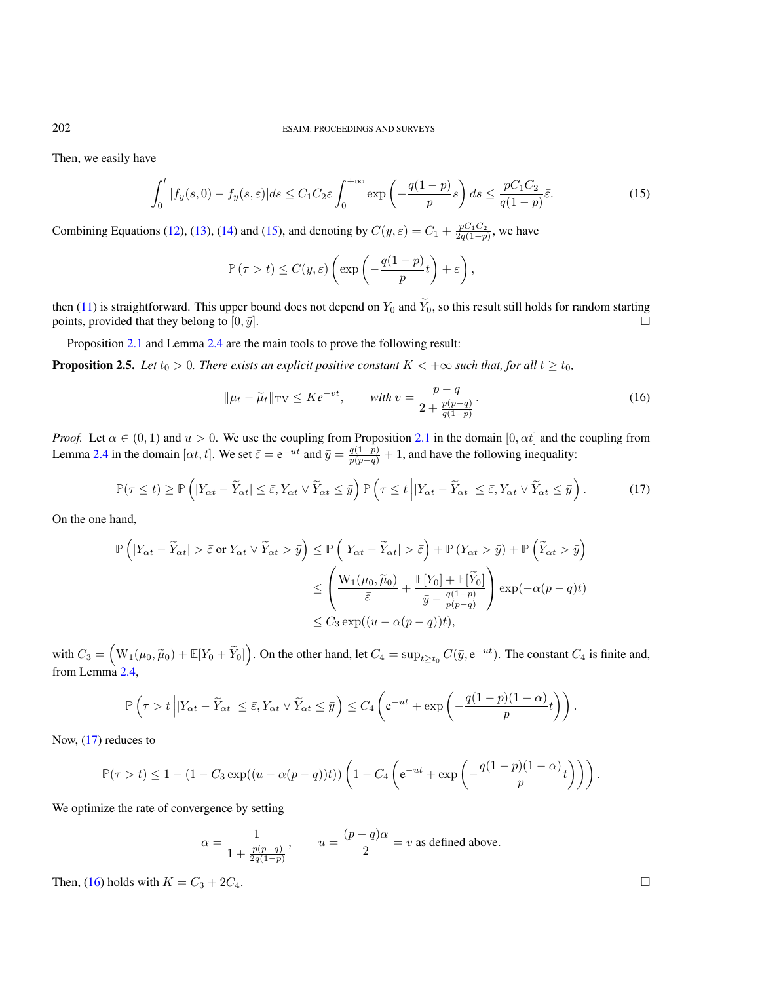Then, we easily have

<span id="page-9-0"></span>
$$
\int_0^t |f_y(s,0) - f_y(s,\varepsilon)| ds \le C_1 C_2 \varepsilon \int_0^{+\infty} \exp\left(-\frac{q(1-p)}{p}s\right) ds \le \frac{pC_1 C_2}{q(1-p)} \bar{\varepsilon}.\tag{15}
$$

Combining Equations [\(12\)](#page-8-0), [\(13\)](#page-8-1), [\(14\)](#page-8-2) and [\(15\)](#page-9-0), and denoting by  $C(\bar{y}, \bar{\varepsilon}) = C_1 + \frac{pC_1C_2}{2q(1-p)}$ , we have

$$
\mathbb{P}(\tau > t) \leq C(\bar{y}, \bar{\varepsilon}) \left( \exp \left( -\frac{q(1-p)}{p} t \right) + \bar{\varepsilon} \right),\,
$$

then [\(11\)](#page-7-1) is straightforward. This upper bound does not depend on  $Y_0$  and  $\tilde{Y}_0$ , so this result still holds for random starting points, provided that they belong to  $[0, \bar{y}]$ . points, provided that they belong to  $[0, \bar{y}]$ .

Proposition [2.1](#page-6-3) and Lemma [2.4](#page-7-2) are the main tools to prove the following result:

**Proposition 2.5.** Let  $t_0 > 0$ . There exists an explicit positive constant  $K < +\infty$  such that, for all  $t \ge t_0$ ,

<span id="page-9-2"></span>
$$
\|\mu_t - \widetilde{\mu}_t\|_{\text{TV}} \le Ke^{-vt}, \qquad \text{with } v = \frac{p-q}{2 + \frac{p(p-q)}{q(1-p)}}. \tag{16}
$$

*Proof.* Let  $\alpha \in (0,1)$  and  $u > 0$ . We use the coupling from Proposition [2.1](#page-6-3) in the domain  $[0, \alpha t]$  and the coupling from Lemma [2.4](#page-7-2) in the domain  $[\alpha t, t]$ . We set  $\bar{\varepsilon} = e^{-ut}$  and  $\bar{y} = \frac{q(1-p)}{p(p-q)} + 1$ , and have the following inequality:

<span id="page-9-1"></span>
$$
\mathbb{P}(\tau \le t) \ge \mathbb{P}\left(|Y_{\alpha t} - \widetilde{Y}_{\alpha t}| \le \bar{\varepsilon}, Y_{\alpha t} \vee \widetilde{Y}_{\alpha t} \le \bar{y}\right) \mathbb{P}\left(\tau \le t \left||Y_{\alpha t} - \widetilde{Y}_{\alpha t}| \le \bar{\varepsilon}, Y_{\alpha t} \vee \widetilde{Y}_{\alpha t} \le \bar{y}\right).\right. \tag{17}
$$

On the one hand,

$$
\mathbb{P}\left(|Y_{\alpha t} - \widetilde{Y}_{\alpha t}| > \bar{\varepsilon} \text{ or } Y_{\alpha t} \vee \widetilde{Y}_{\alpha t} > \bar{y}\right) \leq \mathbb{P}\left(|Y_{\alpha t} - \widetilde{Y}_{\alpha t}| > \bar{\varepsilon}\right) + \mathbb{P}\left(Y_{\alpha t} > \bar{y}\right) + \mathbb{P}\left(\widetilde{Y}_{\alpha t} > \bar{y}\right)
$$
  

$$
\leq \left(\frac{\mathbf{W}_1(\mu_0, \widetilde{\mu}_0)}{\bar{\varepsilon}} + \frac{\mathbb{E}[Y_0] + \mathbb{E}[\widetilde{Y}_0]}{\bar{y} - \frac{q(1-p)}{p(p-q)}}\right) \exp(-\alpha(p-q)t)
$$
  

$$
\leq C_3 \exp((u - \alpha(p-q))t),
$$

with  $C_3 = \left(\mathcal{W}_1(\mu_0, \widetilde{\mu}_0) + \mathbb{E}[Y_0 + \widetilde{Y}_0]\right)$ . On the other hand, let  $C_4 = \sup_{t \ge t_0} C(\bar{y}, e^{-ut})$ . The constant  $C_4$  is finite and, from Lemma [2.4,](#page-7-2)

$$
\mathbb{P}\left(\tau>t\left||Y_{\alpha t}-\widetilde{Y}_{\alpha t}|\leq \bar{\varepsilon},Y_{\alpha t}\vee \widetilde{Y}_{\alpha t}\leq \bar{y}\right)\leq C_4\left(e^{-ut}+\exp\left(-\frac{q(1-p)(1-\alpha)}{p}t\right)\right).
$$

Now, [\(17\)](#page-9-1) reduces to

$$
\mathbb{P}(\tau > t) \leq 1 - (1 - C_3 \exp((u - \alpha(p - q))t)) \left( 1 - C_4 \left( e^{-ut} + \exp\left( - \frac{q(1 - p)(1 - \alpha)}{p} t \right) \right) \right).
$$

We optimize the rate of convergence by setting

$$
\alpha = \frac{1}{1 + \frac{p(p-q)}{2q(1-p)}}, \qquad u = \frac{(p-q)\alpha}{2} = v \text{ as defined above.}
$$

Then, [\(16\)](#page-9-2) holds with  $K = C_3 + 2C_4$ .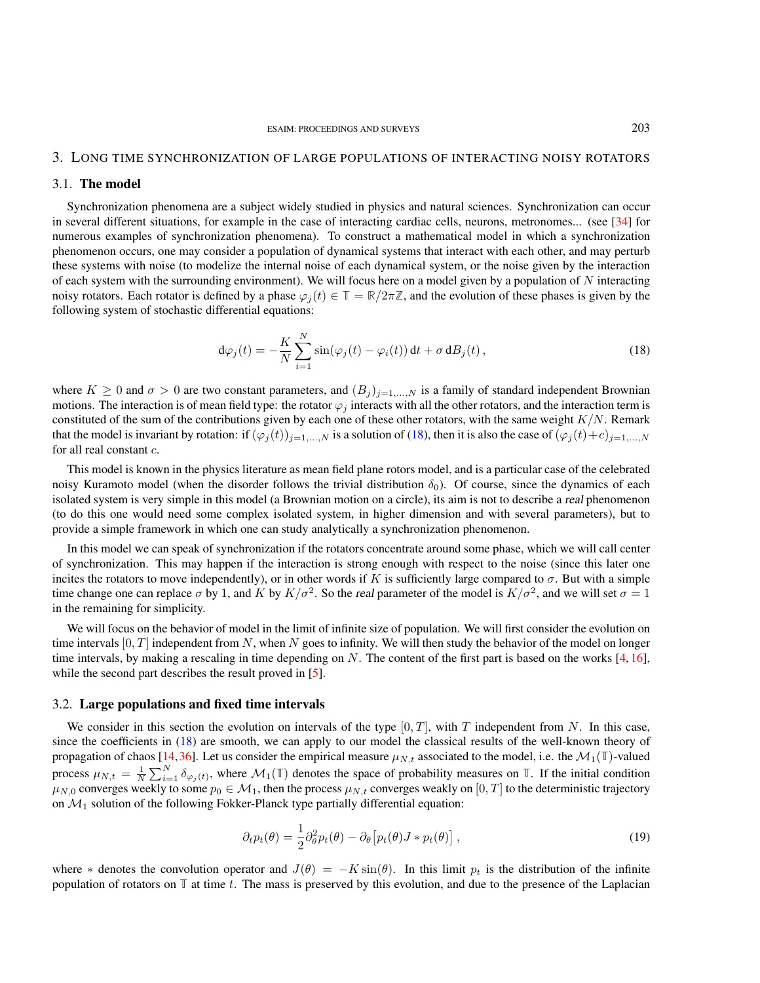# 3. LONG TIME SYNCHRONIZATION OF LARGE POPULATIONS OF INTERACTING NOISY ROTATORS

# 3.1. The model

Synchronization phenomena are a subject widely studied in physics and natural sciences. Synchronization can occur in several different situations, for example in the case of interacting cardiac cells, neurons, metronomes... (see [\[34\]](#page-18-6) for numerous examples of synchronization phenomena). To construct a mathematical model in which a synchronization phenomenon occurs, one may consider a population of dynamical systems that interact with each other, and may perturb these systems with noise (to modelize the internal noise of each dynamical system, or the noise given by the interaction of each system with the surrounding environment). We will focus here on a model given by a population of *N* interacting noisy rotators. Each rotator is defined by a phase  $\varphi_i(t) \in \mathbb{T} = \mathbb{R}/2\pi\mathbb{Z}$ , and the evolution of these phases is given by the following system of stochastic differential equations:

<span id="page-10-0"></span>
$$
\mathrm{d}\varphi_j(t) = -\frac{K}{N} \sum_{i=1}^N \sin(\varphi_j(t) - \varphi_i(t)) \, \mathrm{d}t + \sigma \, \mathrm{d}B_j(t) \,,\tag{18}
$$

where  $K \geq 0$  and  $\sigma > 0$  are two constant parameters, and  $(B_j)_{j=1,\dots,N}$  is a family of standard independent Brownian motions. The interaction is of mean field type: the rotator  $\varphi_j$  interacts with all the other rotators, and the interaction term is constituted of the sum of the contributions given by each one of these other rotators, with the same weight *K/N*. Remark that the model is invariant by rotation: if  $(\varphi_j(t))_{j=1,\dots,N}$  is a solution of [\(18\)](#page-10-0), then it is also the case of  $(\varphi_i(t)+c)_{i=1,\dots,N}$ for all real constant *c*.

This model is known in the physics literature as mean field plane rotors model, and is a particular case of the celebrated noisy Kuramoto model (when the disorder follows the trivial distribution  $\delta_0$ ). Of course, since the dynamics of each isolated system is very simple in this model (a Brownian motion on a circle), its aim is not to describe a real phenomenon (to do this one would need some complex isolated system, in higher dimension and with several parameters), but to provide a simple framework in which one can study analytically a synchronization phenomenon.

In this model we can speak of synchronization if the rotators concentrate around some phase, which we will call center of synchronization. This may happen if the interaction is strong enough with respect to the noise (since this later one incites the rotators to move independently), or in other words if  $K$  is sufficiently large compared to  $\sigma$ . But with a simple time change one can replace  $\sigma$  by 1, and *K* by  $K/\sigma^2$ . So the real parameter of the model is  $K/\sigma^2$ , and we will set  $\sigma = 1$ in the remaining for simplicity.

We will focus on the behavior of model in the limit of infinite size of population. We will first consider the evolution on time intervals [0*, T*] independent from *N*, when *N* goes to infinity. We will then study the behavior of the model on longer time intervals, by making a rescaling in time depending on *N*. The content of the first part is based on the works [\[4,](#page-17-10) [16\]](#page-17-11), while the second part describes the result proved in [\[5\]](#page-17-12).

#### 3.2. Large populations and fixed time intervals

We consider in this section the evolution on intervals of the type  $[0, T]$ , with *T* independent from *N*. In this case, since the coefficients in [\(18\)](#page-10-0) are smooth, we can apply to our model the classical results of the well-known theory of propagation of chaos [\[14,](#page-17-13)[36\]](#page-18-7). Let us consider the empirical measure  $\mu_{N,t}$  associated to the model, i.e. the  $\mathcal{M}_1(\mathbb{T})$ -valued process  $\mu_{N,t} = \frac{1}{N} \sum_{i=1}^{N} \delta_{\varphi_i(t)}$ , where  $\mathcal{M}_1(\mathbb{T})$  denotes the space of probability measures on  $\mathbb{T}$ . If the initial condition  $\mu_{N,0}$  converges weekly to some  $p_0 \in M_1$ , then the process  $\mu_{N,t}$  converges weakly on  $[0,T]$  to the deterministic trajectory on  $M_1$  solution of the following Fokker-Planck type partially differential equation:

<span id="page-10-1"></span>
$$
\partial_t p_t(\theta) = \frac{1}{2} \partial_\theta^2 p_t(\theta) - \partial_\theta \left[ p_t(\theta) J \ast p_t(\theta) \right],\tag{19}
$$

where  $*$  denotes the convolution operator and  $J(\theta) = -K \sin(\theta)$ . In this limit  $p_t$  is the distribution of the infinite population of rotators on **T** at time *t*. The mass is preserved by this evolution, and due to the presence of the Laplacian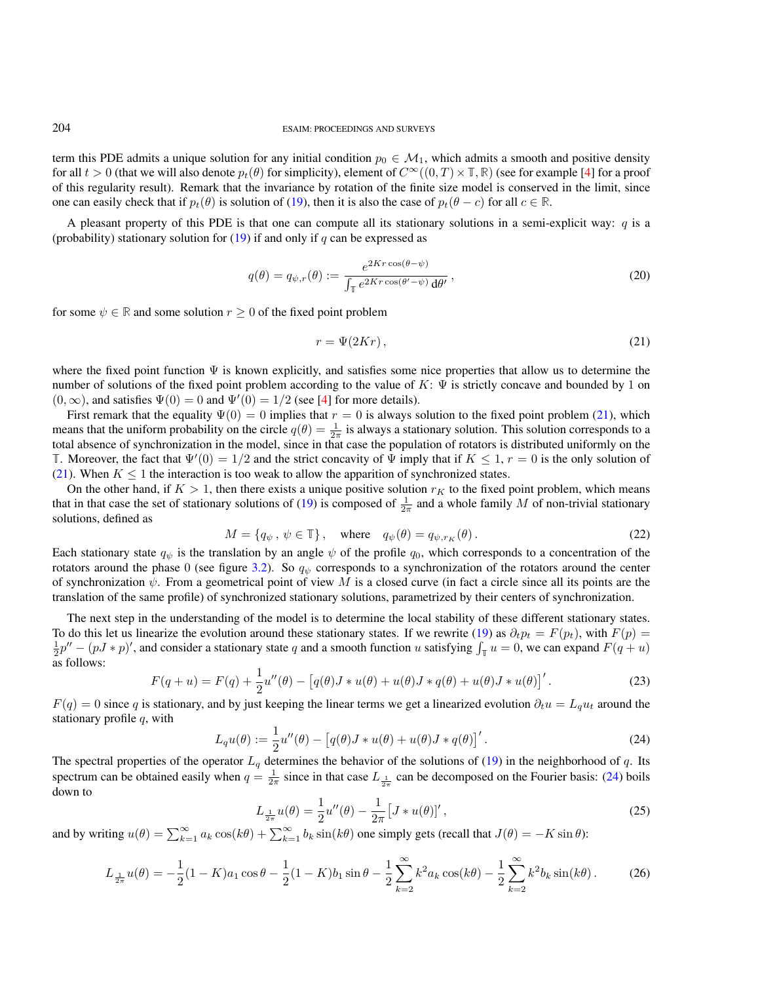term this PDE admits a unique solution for any initial condition  $p_0 \in M_1$ , which admits a smooth and positive density for all  $t > 0$  (that we will also denote  $p_t(\theta)$  for simplicity), element of  $C^{\infty}((0,T) \times \mathbb{T}, \mathbb{R})$  (see for example [\[4\]](#page-17-10) for a proof of this regularity result). Remark that the invariance by rotation of the finite size model is conserved in the limit, since one can easily check that if  $p_t(\theta)$  is solution of [\(19\)](#page-10-1), then it is also the case of  $p_t(\theta - c)$  for all  $c \in \mathbb{R}$ .

A pleasant property of this PDE is that one can compute all its stationary solutions in a semi-explicit way:  $q$  is a (probability) stationary solution for [\(19\)](#page-10-1) if and only if *q* can be expressed as

$$
q(\theta) = q_{\psi,r}(\theta) := \frac{e^{2Kr\cos(\theta - \psi)}}{\int_{\mathbb{T}} e^{2Kr\cos(\theta' - \psi)} d\theta'},
$$
\n(20)

for some  $\psi \in \mathbb{R}$  and some solution  $r \geq 0$  of the fixed point problem

<span id="page-11-0"></span>
$$
r = \Psi(2Kr),\tag{21}
$$

where the fixed point function  $\Psi$  is known explicitly, and satisfies some nice properties that allow us to determine the number of solutions of the fixed point problem according to the value of *K*: Ψ is strictly concave and bounded by 1 on  $(0, \infty)$ , and satisfies  $\Psi(0) = 0$  and  $\Psi'(0) = 1/2$  (see [\[4\]](#page-17-10) for more details).

First remark that the equality  $\Psi(0) = 0$  implies that  $r = 0$  is always solution to the fixed point problem [\(21\)](#page-11-0), which means that the uniform probability on the circle  $q(\theta) = \frac{1}{2\pi}$  is always a stationary solution. This solution corresponds to a total absence of synchronization in the model, since in that case the population of rotators is distributed uniformly on the **T**. Moreover, the fact that  $\Psi'(0) = 1/2$  and the strict concavity of  $\Psi$  imply that if  $K \leq 1, r = 0$  is the only solution of [\(21\)](#page-11-0). When  $K \leq 1$  the interaction is too weak to allow the apparition of synchronized states.

On the other hand, if  $K > 1$ , then there exists a unique positive solution  $r_K$  to the fixed point problem, which means that in that case the set of stationary solutions of [\(19\)](#page-10-1) is composed of  $\frac{1}{2\pi}$  and a whole family M of non-trivial stationary solutions, defined as

<span id="page-11-1"></span>
$$
M = \{ q_{\psi} , \psi \in \mathbb{T} \}, \quad \text{where} \quad q_{\psi}(\theta) = q_{\psi, r_K}(\theta). \tag{22}
$$

Each stationary state  $q_{\psi}$  is the translation by an angle  $\psi$  of the profile  $q_0$ , which corresponds to a concentration of the rotators around the phase 0 (see figure [3.2\)](#page-11-1). So  $q_{\psi}$  corresponds to a synchronization of the rotators around the center of synchronization *ψ*. From a geometrical point of view *M* is a closed curve (in fact a circle since all its points are the translation of the same profile) of synchronized stationary solutions, parametrized by their centers of synchronization.

The next step in the understanding of the model is to determine the local stability of these different stationary states. To do this let us linearize the evolution around these stationary states. If we rewrite [\(19\)](#page-10-1) as  $\partial_t p_t = F(p_t)$ , with  $F(p)$  $\frac{1}{2}p'' - (pJ * p)'$ , and consider a stationary state *q* and a smooth function *u* satisfying  $\int_{\mathbb{T}} u = 0$ , we can expand  $F(q + u)$ as follows:

$$
F(q+u) = F(q) + \frac{1}{2}u''(\theta) - [q(\theta)J * u(\theta) + u(\theta)J * q(\theta) + u(\theta)J * u(\theta)]'.
$$
 (23)

 $F(q) = 0$  since *q* is stationary, and by just keeping the linear terms we get a linearized evolution  $\partial_t u = L_q u_t$  around the stationary profile *q*, with

<span id="page-11-2"></span>
$$
L_q u(\theta) := \frac{1}{2} u''(\theta) - \left[ q(\theta) J \ast u(\theta) + u(\theta) J \ast q(\theta) \right]'.
$$
 (24)

The spectral properties of the operator  $L_q$  determines the behavior of the solutions of [\(19\)](#page-10-1) in the neighborhood of  $q$ . Its spectrum can be obtained easily when  $q = \frac{1}{2\pi}$  since in that case  $L_{\frac{1}{2\pi}}$  can be decomposed on the Fourier basis: [\(24\)](#page-11-2) boils down to

$$
L_{\frac{1}{2\pi}}u(\theta) = \frac{1}{2}u''(\theta) - \frac{1}{2\pi}[J*u(\theta)]',
$$
\n(25)

and by writing  $u(\theta) = \sum_{k=1}^{\infty} a_k \cos(k\theta) + \sum_{k=1}^{\infty} b_k \sin(k\theta)$  one simply gets (recall that  $J(\theta) = -K \sin \theta$ ):

$$
L_{\frac{1}{2\pi}}u(\theta) = -\frac{1}{2}(1-K)a_1\cos\theta - \frac{1}{2}(1-K)b_1\sin\theta - \frac{1}{2}\sum_{k=2}^{\infty}k^2a_k\cos(k\theta) - \frac{1}{2}\sum_{k=2}^{\infty}k^2b_k\sin(k\theta).
$$
 (26)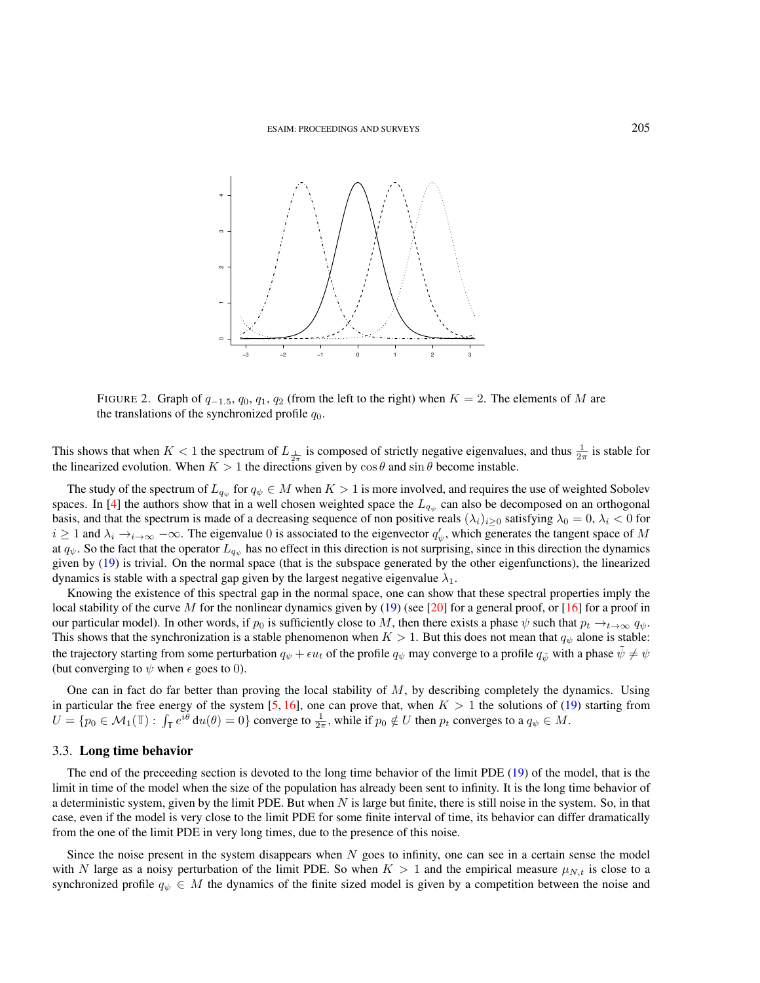

FIGURE 2. Graph of  $q_{-1,5}$ ,  $q_0$ ,  $q_1$ ,  $q_2$  (from the left to the right) when  $K = 2$ . The elements of *M* are the translations of the synchronized profile *q*0.

This shows that when  $K < 1$  the spectrum of  $L_{\frac{1}{2\pi}}$  is composed of strictly negative eigenvalues, and thus  $\frac{1}{2\pi}$  is stable for the linearized evolution. When  $K > 1$  the directions given by  $\cos \theta$  and  $\sin \theta$  become instable.

The study of the spectrum of  $L_{q_{\psi}}$  for  $q_{\psi} \in M$  when  $K > 1$  is more involved, and requires the use of weighted Sobolev spaces. In [\[4\]](#page-17-10) the authors show that in a well chosen weighted space the  $L_{q_{\psi}}$  can also be decomposed on an orthogonal basis, and that the spectrum is made of a decreasing sequence of non positive reals  $(\lambda_i)_{i>0}$  satisfying  $\lambda_0 = 0$ ,  $\lambda_i < 0$  for  $i \geq 1$  and  $\lambda_i \to_{i \to \infty} -\infty$ . The eigenvalue 0 is associated to the eigenvector  $q'_\psi$ , which generates the tangent space of M at  $q_{\psi}$ . So the fact that the operator  $L_{q_{\psi}}$  has no effect in this direction is not surprising, since in this direction the dynamics given by [\(19\)](#page-10-1) is trivial. On the normal space (that is the subspace generated by the other eigenfunctions), the linearized dynamics is stable with a spectral gap given by the largest negative eigenvalue  $\lambda_1$ .

Knowing the existence of this spectral gap in the normal space, one can show that these spectral properties imply the local stability of the curve *M* for the nonlinear dynamics given by [\(19\)](#page-10-1) (see [\[20\]](#page-18-8) for a general proof, or [\[16\]](#page-17-11) for a proof in our particular model). In other words, if  $p_0$  is sufficiently close to *M*, then there exists a phase  $\psi$  such that  $p_t \to t \to \infty$   $q_\psi$ . This shows that the synchronization is a stable phenomenon when  $K > 1$ . But this does not mean that  $q_{\psi}$  alone is stable: the trajectory starting from some perturbation  $q_{\psi} + \epsilon u_t$  of the profile  $q_{\psi}$  may converge to a profile  $q_{\bar{\psi}}$  with a phase  $\psi \neq \psi$ (but converging to  $\psi$  when  $\epsilon$  goes to 0).

One can in fact do far better than proving the local stability of *M*, by describing completely the dynamics. Using in particular the free energy of the system  $[5, 16]$  $[5, 16]$  $[5, 16]$ , one can prove that, when  $K > 1$  the solutions of  $(19)$  starting from  $U = \{p_0 \in M_1(\mathbb{T}) : \int_{\mathbb{T}} e^{i\theta} du(\theta) = 0\}$  converge to  $\frac{1}{2\pi}$ , while if  $p_0 \notin U$  then  $p_t$  converges to a  $q_{\psi} \in M$ .

# 3.3. Long time behavior

The end of the preceeding section is devoted to the long time behavior of the limit PDE [\(19\)](#page-10-1) of the model, that is the limit in time of the model when the size of the population has already been sent to infinity. It is the long time behavior of a deterministic system, given by the limit PDE. But when *N* is large but finite, there is still noise in the system. So, in that case, even if the model is very close to the limit PDE for some finite interval of time, its behavior can differ dramatically from the one of the limit PDE in very long times, due to the presence of this noise.

Since the noise present in the system disappears when *N* goes to infinity, one can see in a certain sense the model with *N* large as a noisy perturbation of the limit PDE. So when  $K > 1$  and the empirical measure  $\mu_{N,t}$  is close to a synchronized profile  $q_{\psi} \in M$  the dynamics of the finite sized model is given by a competition between the noise and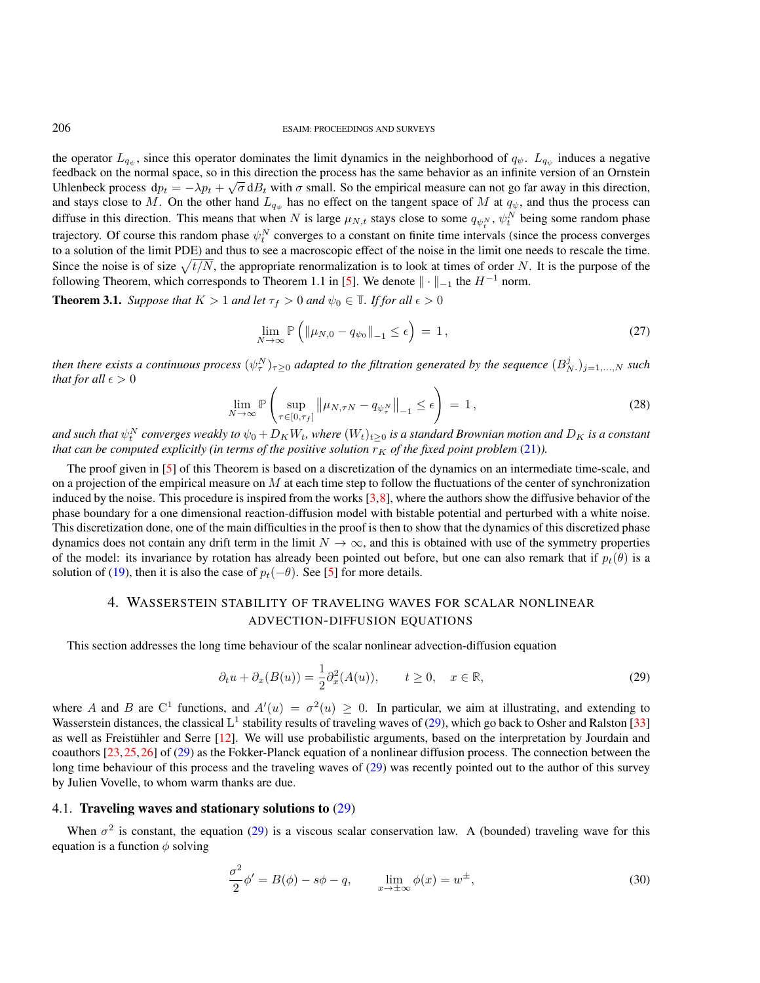the operator  $L_{q_{\psi}}$ , since this operator dominates the limit dynamics in the neighborhood of  $q_{\psi}$ .  $L_{q_{\psi}}$  induces a negative feedback on the normal space, so in this direction the process has the same behavior as an infinite version of an Ornstein Uhlenbeck process  $dp_t = -\lambda p_t + \sqrt{\sigma} d_t$  with  $\sigma$  small. So the empirical measure can not go far away in this direction, and stays close to M. On the other hand  $L_{q_{\psi}}$  has no effect on the tangent space of M at  $q_{\psi}$ , and thus the process can diffuse in this direction. This means that when *N* is large  $\mu_{N,t}$  stays close to some  $q_{\psi_t^N}$ ,  $\psi_t^N$  being some random phase trajectory. Of course this random phase  $\psi_t^N$  converges to a constant on finite time intervals (since the process converges to a solution of the limit PDE) and thus to see a macroscopic effect of the noise in the limit one needs to rescale the time. Since the noise is of size  $\sqrt{t/N}$ , the appropriate renormalization is to look at times of order *N*. It is the purpose of the following Theorem, which corresponds to Theorem 1.1 in [\[5\]](#page-17-12). We denote  $\|\cdot\|_{-1}$  the  $H^{-1}$  norm.

**Theorem 3.1.** *Suppose that*  $K > 1$  *and let*  $\tau_f > 0$  *and*  $\psi_0 \in \mathbb{T}$ *. If for all*  $\epsilon > 0$ 

$$
\lim_{N \to \infty} \mathbb{P}\left(\left\|\mu_{N,0} - q_{\psi_0}\right\|_{-1} \le \epsilon\right) = 1,
$$
\n(27)

*then there exists a continuous process*  $(\psi^N_\tau)_{\tau\geq0}$  adapted to the filtration generated by the sequence  $(B^j_N.)_{j=1,...,N}$  such *that for all*  $\epsilon > 0$ 

$$
\lim_{N \to \infty} \mathbb{P}\left(\sup_{\tau \in [0,\tau_f]} \left\|\mu_{N,\tau N} - q_{\psi_{\tau}^N}\right\|_{-1} \le \epsilon\right) = 1,
$$
\n(28)

and such that  $\psi^N_t$  converges weakly to  $\psi_0+D_KW_t$ , where  $(W_t)_{t\geq 0}$  is a standard Brownian motion and  $D_K$  is a constant *that can be computed explicitly (in terms of the positive solution*  $r_K$  *of the fixed point problem* [\(21\)](#page-11-0)).

The proof given in [\[5\]](#page-17-12) of this Theorem is based on a discretization of the dynamics on an intermediate time-scale, and on a projection of the empirical measure on *M* at each time step to follow the fluctuations of the center of synchronization induced by the noise. This procedure is inspired from the works  $[3,8]$  $[3,8]$ , where the authors show the diffusive behavior of the phase boundary for a one dimensional reaction-diffusion model with bistable potential and perturbed with a white noise. This discretization done, one of the main difficulties in the proof is then to show that the dynamics of this discretized phase dynamics does not contain any drift term in the limit  $N \to \infty$ , and this is obtained with use of the symmetry properties of the model: its invariance by rotation has already been pointed out before, but one can also remark that if  $p_t(\theta)$  is a solution of [\(19\)](#page-10-1), then it is also the case of  $p_t(-\theta)$ . See [\[5\]](#page-17-12) for more details.

# 4. WASSERSTEIN STABILITY OF TRAVELING WAVES FOR SCALAR NONLINEAR ADVECTION-DIFFUSION EQUATIONS

This section addresses the long time behaviour of the scalar nonlinear advection-diffusion equation

<span id="page-13-0"></span>
$$
\partial_t u + \partial_x (B(u)) = \frac{1}{2} \partial_x^2 (A(u)), \qquad t \ge 0, \quad x \in \mathbb{R}, \tag{29}
$$

where *A* and *B* are C<sup>1</sup> functions, and  $A'(u) = \sigma^2(u) \ge 0$ . In particular, we aim at illustrating, and extending to Wasserstein distances, the classical  $L^1$  stability results of traveling waves of [\(29\)](#page-13-0), which go back to Osher and Ralston [\[33\]](#page-18-9) as well as Freistühler and Serre  $[12]$  $[12]$ . We will use probabilistic arguments, based on the interpretation by Jourdain and coauthors [\[23,](#page-18-10)[25,](#page-18-11)[26\]](#page-18-12) of [\(29\)](#page-13-0) as the Fokker-Planck equation of a nonlinear diffusion process. The connection between the long time behaviour of this process and the traveling waves of [\(29\)](#page-13-0) was recently pointed out to the author of this survey by Julien Vovelle, to whom warm thanks are due.

# 4.1. Traveling waves and stationary solutions to [\(29\)](#page-13-0)

When  $\sigma^2$  is constant, the equation [\(29\)](#page-13-0) is a viscous scalar conservation law. A (bounded) traveling wave for this equation is a function *φ* solving

<span id="page-13-1"></span>
$$
\frac{\sigma^2}{2}\phi' = B(\phi) - s\phi - q, \qquad \lim_{x \to \pm \infty} \phi(x) = w^{\pm}, \tag{30}
$$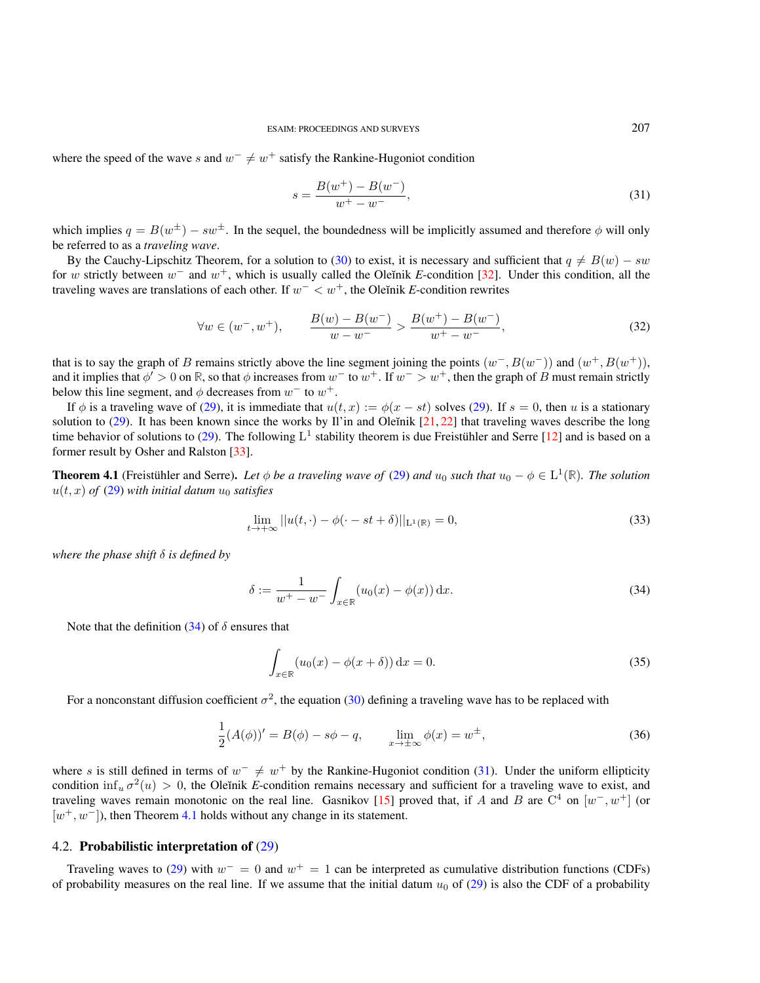where the speed of the wave *s* and  $w^- \neq w^+$  satisfy the Rankine-Hugoniot condition

<span id="page-14-1"></span>
$$
s = \frac{B(w^{+}) - B(w^{-})}{w^{+} - w^{-}},
$$
\n(31)

which implies  $q = B(w^{\pm}) - sw^{\pm}$ . In the sequel, the boundedness will be implicitly assumed and therefore  $\phi$  will only be referred to as a *traveling wave*.

By the Cauchy-Lipschitz Theorem, for a solution to [\(30\)](#page-13-1) to exist, it is necessary and sufficient that  $q \neq B(w) - sw$ for *w* strictly between *w*<sup>−</sup> and *w*<sup>+</sup>, which is usually called the Oleĭnik *E*-condition [\[32\]](#page-18-13). Under this condition, all the traveling waves are translations of each other. If  $w^- < w^+$ , the Oleĭnik *E*-condition rewrites

$$
\forall w \in (w^-, w^+), \qquad \frac{B(w) - B(w^-)}{w - w^-} > \frac{B(w^+) - B(w^-)}{w^+ - w^-},\tag{32}
$$

that is to say the graph of *B* remains strictly above the line segment joining the points  $(w^-, B(w^-))$  and  $(w^+, B(w^+))$ , and it implies that  $\phi' > 0$  on  $\mathbb{R}$ , so that  $\phi$  increases from  $w^-$  to  $w^+$ . If  $w^- > w^+$ , then the graph of *B* must remain strictly below this line segment, and  $\phi$  decreases from  $w^-$  to  $w^+$ .

If  $\phi$  is a traveling wave of [\(29\)](#page-13-0), it is immediate that  $u(t, x) := \phi(x - st)$  solves (29). If  $s = 0$ , then *u* is a stationary solution to  $(29)$ . It has been known since the works by Il'in and Oleĭnik  $[21, 22]$  $[21, 22]$  $[21, 22]$  that traveling waves describe the long time behavior of solutions to [\(29\)](#page-13-0). The following  $L^1$  stability theorem is due Freistühler and Serre [[12\]](#page-17-16) and is based on a former result by Osher and Ralston [\[33\]](#page-18-9).

<span id="page-14-2"></span>**Theorem 4.1** (Freistühler and Serre). Let  $\phi$  be a traveling wave of [\(29\)](#page-13-0) and  $u_0$  such that  $u_0 - \phi \in L^1(\mathbb{R})$ . The solution  $u(t, x)$  *of* [\(29\)](#page-13-0) *with initial datum*  $u_0$  *satisfies* 

$$
\lim_{t \to +\infty} ||u(t, \cdot) - \phi(\cdot - st + \delta)||_{L^{1}(\mathbb{R})} = 0,
$$
\n(33)

*where the phase shift δ is defined by*

<span id="page-14-0"></span>
$$
\delta := \frac{1}{w^+ - w^-} \int_{x \in \mathbb{R}} (u_0(x) - \phi(x)) \, dx.
$$
 (34)

Note that the definition  $(34)$  of  $\delta$  ensures that

<span id="page-14-4"></span>
$$
\int_{x \in \mathbb{R}} (u_0(x) - \phi(x + \delta)) \, \mathrm{d}x = 0. \tag{35}
$$

For a nonconstant diffusion coefficient  $\sigma^2$ , the equation [\(30\)](#page-13-1) defining a traveling wave has to be replaced with

<span id="page-14-3"></span>
$$
\frac{1}{2}(A(\phi))' = B(\phi) - s\phi - q, \qquad \lim_{x \to \pm \infty} \phi(x) = w^{\pm}, \tag{36}
$$

where *s* is still defined in terms of  $w^- \neq w^+$  by the Rankine-Hugoniot condition [\(31\)](#page-14-1). Under the uniform ellipticity condition  $\inf_u \sigma^2(u) > 0$ , the Oleĭnik *E*-condition remains necessary and sufficient for a traveling wave to exist, and traveling waves remain monotonic on the real line. Gasnikov [\[15\]](#page-17-17) proved that, if *A* and *B* are  $C^4$  on  $[w^-, w^+]$  (or [*w* <sup>+</sup>*, w*<sup>−</sup>]), then Theorem [4.1](#page-14-2) holds without any change in its statement.

## 4.2. Probabilistic interpretation of [\(29\)](#page-13-0)

Traveling waves to [\(29\)](#page-13-0) with  $w^- = 0$  and  $w^+ = 1$  can be interpreted as cumulative distribution functions (CDFs) of probability measures on the real line. If we assume that the initial datum  $u_0$  of [\(29\)](#page-13-0) is also the CDF of a probability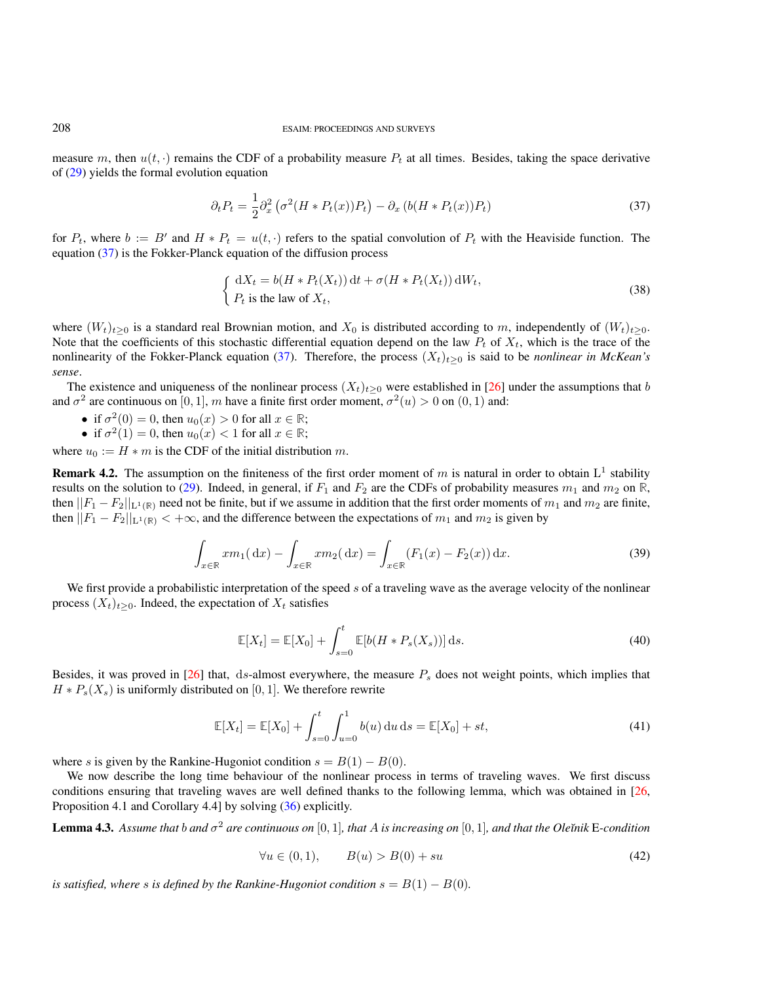#### 208 ESAIM: PROCEEDINGS AND SURVEYS

measure *m*, then  $u(t, \cdot)$  remains the CDF of a probability measure  $P_t$  at all times. Besides, taking the space derivative of [\(29\)](#page-13-0) yields the formal evolution equation

<span id="page-15-0"></span>
$$
\partial_t P_t = \frac{1}{2} \partial_x^2 \left( \sigma^2 (H \ast P_t(x)) P_t \right) - \partial_x \left( b (H \ast P_t(x)) P_t \right) \tag{37}
$$

for  $P_t$ , where  $b := B'$  and  $H * P_t = u(t, \cdot)$  refers to the spatial convolution of  $P_t$  with the Heaviside function. The equation [\(37\)](#page-15-0) is the Fokker-Planck equation of the diffusion process

$$
\begin{cases} dX_t = b(H * P_t(X_t)) dt + \sigma(H * P_t(X_t)) dW_t, \\ P_t \text{ is the law of } X_t, \end{cases}
$$
\n(38)

where  $(W_t)_{t>0}$  is a standard real Brownian motion, and  $X_0$  is distributed according to  $m$ , independently of  $(W_t)_{t>0}$ . Note that the coefficients of this stochastic differential equation depend on the law  $P_t$  of  $X_t$ , which is the trace of the nonlinearity of the Fokker-Planck equation [\(37\)](#page-15-0). Therefore, the process  $(X_t)_{t\geq0}$  is said to be *nonlinear in McKean's sense*.

The existence and uniqueness of the nonlinear process  $(X_t)_{t\geq 0}$  were established in [\[26\]](#page-18-12) under the assumptions that *b* and  $\sigma^2$  are continuous on [0, 1], *m* have a finite first order moment,  $\sigma^2(u) > 0$  on (0, 1) and:

- if  $\sigma^2(0) = 0$ , then  $u_0(x) > 0$  for all  $x \in \mathbb{R}$ ;
- if  $\sigma^2(1) = 0$ , then  $u_0(x) < 1$  for all  $x \in \mathbb{R}$ ;

where  $u_0 := H * m$  is the CDF of the initial distribution m.

<span id="page-15-2"></span>**Remark 4.2.** The assumption on the finiteness of the first order moment of m is natural in order to obtain  $L^1$  stability results on the solution to [\(29\)](#page-13-0). Indeed, in general, if  $F_1$  and  $F_2$  are the CDFs of probability measures  $m_1$  and  $m_2$  on  $\mathbb{R}$ , then  $||F_1 - F_2||_{L^1(\mathbb{R})}$  need not be finite, but if we assume in addition that the first order moments of  $m_1$  and  $m_2$  are finite, then  $||F_1 - F_2||_{\mathbb{L}^1(\mathbb{R})} < +\infty$ , and the difference between the expectations of  $m_1$  and  $m_2$  is given by

$$
\int_{x \in \mathbb{R}} x m_1(\, \mathrm{d}x) - \int_{x \in \mathbb{R}} x m_2(\, \mathrm{d}x) = \int_{x \in \mathbb{R}} (F_1(x) - F_2(x)) \, \mathrm{d}x. \tag{39}
$$

We first provide a probabilistic interpretation of the speed *s* of a traveling wave as the average velocity of the nonlinear process  $(X_t)_{t>0}$ . Indeed, the expectation of  $X_t$  satisfies

$$
\mathbb{E}[X_t] = \mathbb{E}[X_0] + \int_{s=0}^t \mathbb{E}[b(H * P_s(X_s))] \, \mathrm{d}s. \tag{40}
$$

Besides, it was proved in [\[26\]](#page-18-12) that, d*s*-almost everywhere, the measure *P<sup>s</sup>* does not weight points, which implies that  $H * P_s(X_s)$  is uniformly distributed on [0, 1]. We therefore rewrite

<span id="page-15-3"></span>
$$
\mathbb{E}[X_t] = \mathbb{E}[X_0] + \int_{s=0}^t \int_{u=0}^1 b(u) \, \mathrm{d}u \, \mathrm{d}s = \mathbb{E}[X_0] + st,\tag{41}
$$

where *s* is given by the Rankine-Hugoniot condition  $s = B(1) - B(0)$ .

We now describe the long time behaviour of the nonlinear process in terms of traveling waves. We first discuss conditions ensuring that traveling waves are well defined thanks to the following lemma, which was obtained in [\[26,](#page-18-12) Proposition 4.1 and Corollary 4.4] by solving [\(36\)](#page-14-3) explicitly.

<span id="page-15-1"></span>**Lemma 4.3.** Assume that  $b$  and  $\sigma^2$  are continuous on  $[0,1]$ , that A is increasing on  $[0,1]$ , and that the Oleĭnik E-condition

<span id="page-15-4"></span>
$$
\forall u \in (0,1), \qquad B(u) > B(0) + su \tag{42}
$$

*is satisfied, where s is defined by the Rankine-Hugoniot condition*  $s = B(1) - B(0)$ *.*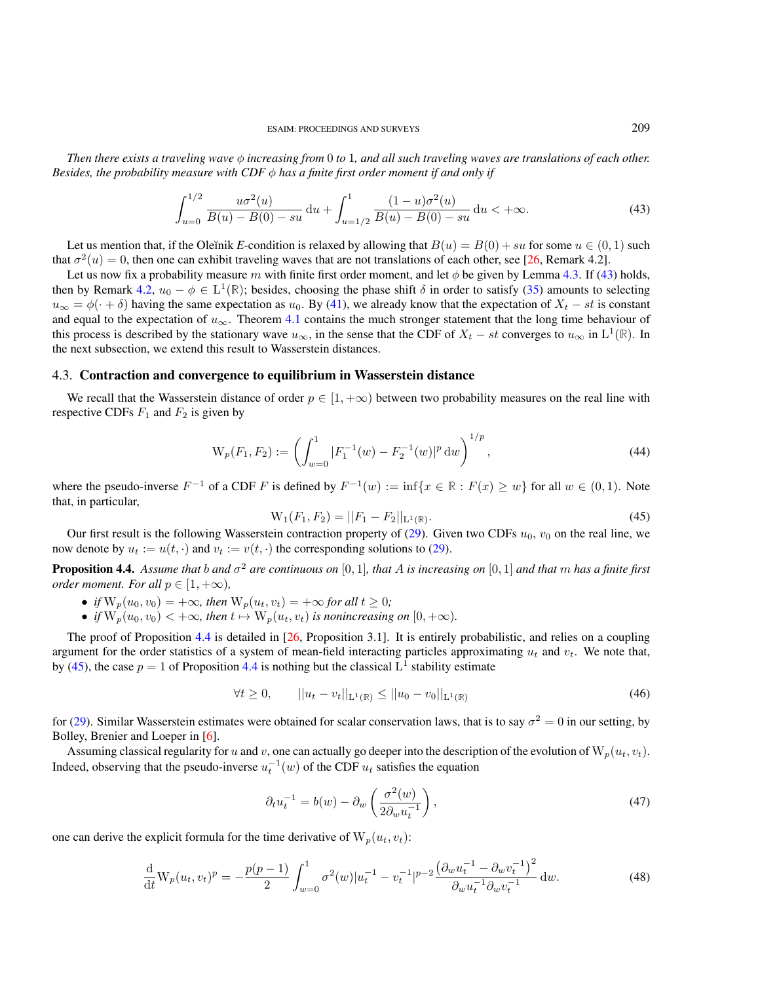*Then there exists a traveling wave φ increasing from* 0 *to* 1*, and all such traveling waves are translations of each other. Besides, the probability measure with CDF φ has a finite first order moment if and only if*

<span id="page-16-0"></span>
$$
\int_{u=0}^{1/2} \frac{u\sigma^2(u)}{B(u) - B(0) - su} du + \int_{u=1/2}^{1} \frac{(1-u)\sigma^2(u)}{B(u) - B(0) - su} du < +\infty.
$$
 (43)

Let us mention that, if the Oleĭnik *E*-condition is relaxed by allowing that  $B(u) = B(0) + su$  for some  $u \in (0,1)$  such that  $\sigma^2(u) = 0$ , then one can exhibit traveling waves that are not translations of each other, see [\[26,](#page-18-12) Remark 4.2].

Let us now fix a probability measure *m* with finite first order moment, and let  $\phi$  be given by Lemma [4.3.](#page-15-1) If [\(43\)](#page-16-0) holds, then by Remark [4.2,](#page-15-2)  $u_0 - \phi \in L^1(\mathbb{R})$ ; besides, choosing the phase shift  $\delta$  in order to satisfy [\(35\)](#page-14-4) amounts to selecting  $u_{\infty} = \phi(\cdot + \delta)$  having the same expectation as  $u_0$ . By [\(41\)](#page-15-3), we already know that the expectation of  $X_t - st$  is constant and equal to the expectation of  $u_{\infty}$ . Theorem [4.1](#page-14-2) contains the much stronger statement that the long time behaviour of this process is described by the stationary wave  $u_{\infty}$ , in the sense that the CDF of  $X_t - st$  converges to  $u_{\infty}$  in  $L^1(\mathbb{R})$ . In the next subsection, we extend this result to Wasserstein distances.

### 4.3. Contraction and convergence to equilibrium in Wasserstein distance

We recall that the Wasserstein distance of order  $p \in [1, +\infty)$  between two probability measures on the real line with respective CDFs  $F_1$  and  $F_2$  is given by

$$
\mathcal{W}_p(F_1, F_2) := \left( \int_{w=0}^1 |F_1^{-1}(w) - F_2^{-1}(w)|^p \, dw \right)^{1/p},\tag{44}
$$

where the pseudo-inverse  $F^{-1}$  of a CDF F is defined by  $F^{-1}(w) := \inf\{x \in \mathbb{R} : F(x) \ge w\}$  for all  $w \in (0,1)$ . Note that, in particular,

<span id="page-16-2"></span>
$$
W_1(F_1, F_2) = ||F_1 - F_2||_{L^1(\mathbb{R})}.
$$
\n(45)

Our first result is the following Wasserstein contraction property of  $(29)$ . Given two CDFs  $u_0$ ,  $v_0$  on the real line, we now denote by  $u_t := u(t, \cdot)$  and  $v_t := v(t, \cdot)$  the corresponding solutions to [\(29\)](#page-13-0).

<span id="page-16-1"></span>**Proposition 4.4.** Assume that *b* and  $\sigma^2$  are continuous on [0,1], that A is increasing on [0,1] and that m has a finite first *order moment. For all*  $p \in [1, +\infty)$ *,* 

- *if*  $W_p(u_0, v_0) = +\infty$ *, then*  $W_p(u_t, v_t) = +\infty$  *for all*  $t \ge 0$ *;*
- *if*  $W_p(u_0, v_0) < +\infty$ , then  $t \mapsto W_p(u_t, v_t)$  is nonincreasing on  $[0, +\infty)$ .

The proof of Proposition [4.4](#page-16-1) is detailed in [\[26,](#page-18-12) Proposition 3.1]. It is entirely probabilistic, and relies on a coupling argument for the order statistics of a system of mean-field interacting particles approximating  $u_t$  and  $v_t$ . We note that, by [\(45\)](#page-16-2), the case  $p = 1$  of Proposition [4.4](#page-16-1) is nothing but the classical  $L<sup>1</sup>$  stability estimate

$$
\forall t \ge 0, \qquad ||u_t - v_t||_{\mathcal{L}^1(\mathbb{R})} \le ||u_0 - v_0||_{\mathcal{L}^1(\mathbb{R})} \tag{46}
$$

for [\(29\)](#page-13-0). Similar Wasserstein estimates were obtained for scalar conservation laws, that is to say  $\sigma^2 = 0$  in our setting, by Bolley, Brenier and Loeper in [\[6\]](#page-17-18).

Assuming classical regularity for *u* and *v*, one can actually go deeper into the description of the evolution of  $W_p(u_t, v_t)$ . Indeed, observing that the pseudo-inverse  $u_t^{-1}(w)$  of the CDF  $u_t$  satisfies the equation

$$
\partial_t u_t^{-1} = b(w) - \partial_w \left( \frac{\sigma^2(w)}{2\partial_w u_t^{-1}} \right),\tag{47}
$$

one can derive the explicit formula for the time derivative of  $W_p(u_t, v_t)$ :

$$
\frac{\mathrm{d}}{\mathrm{d}t} \mathcal{W}_p(u_t, v_t)^p = -\frac{p(p-1)}{2} \int_{w=0}^1 \sigma^2(w) |u_t^{-1} - v_t^{-1}|^{p-2} \frac{\left(\partial_w u_t^{-1} - \partial_w v_t^{-1}\right)^2}{\partial_w u_t^{-1} \partial_w v_t^{-1}} \, \mathrm{d}w. \tag{48}
$$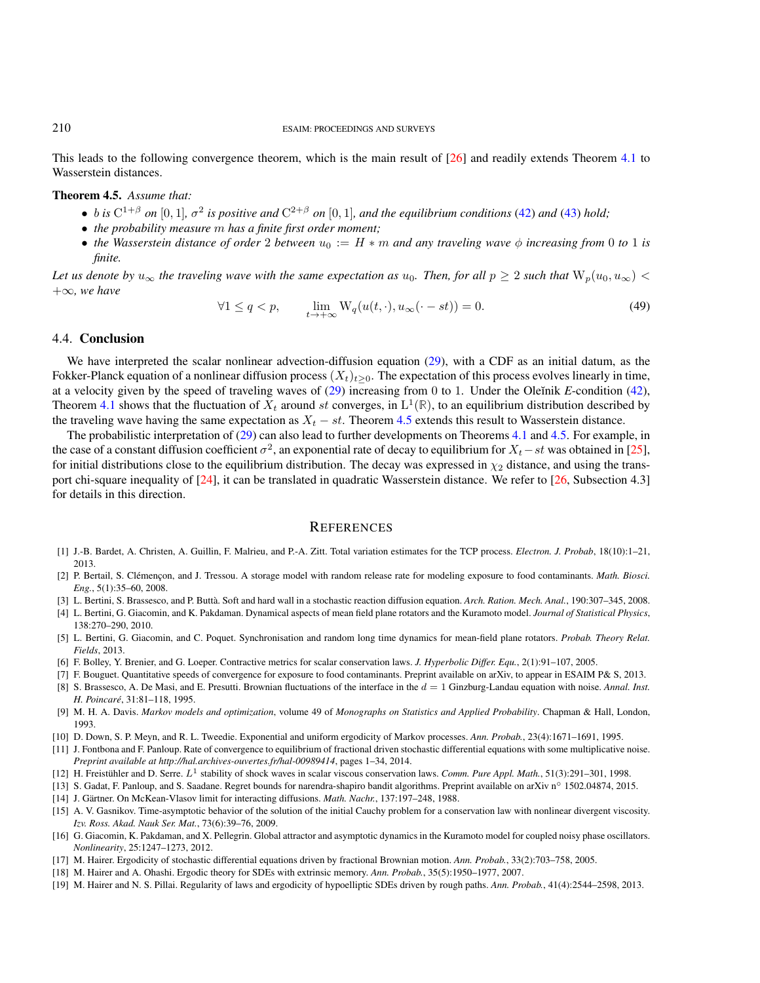This leads to the following convergence theorem, which is the main result of [\[26\]](#page-18-12) and readily extends Theorem [4.1](#page-14-2) to Wasserstein distances.

# <span id="page-17-19"></span>Theorem 4.5. *Assume that:*

- *b is*  $C^{1+\beta}$  *on*  $[0,1]$ *,*  $\sigma^2$  *is positive and*  $C^{2+\beta}$  *on*  $[0,1]$ *, and the equilibrium conditions* [\(42\)](#page-15-4) *and* [\(43\)](#page-16-0) *hold*;
- *the probability measure m has a finite first order moment;*
- the Wasserstein distance of order 2 between  $u_0 := H * m$  and any traveling wave  $\phi$  increasing from 0 to 1 is *finite.*

*Let us denote by*  $u_{\infty}$  *the traveling wave with the same expectation as*  $u_0$ *. Then, for all*  $p \geq 2$  *such that*  $W_p(u_0, u_{\infty})$  < +∞*, we have*

$$
\forall 1 \le q < p, \qquad \lim_{t \to +\infty} \mathcal{W}_q(u(t, \cdot), u_\infty(\cdot - st)) = 0. \tag{49}
$$

#### 4.4. Conclusion

We have interpreted the scalar nonlinear advection-diffusion equation [\(29\)](#page-13-0), with a CDF as an initial datum, as the Fokker-Planck equation of a nonlinear diffusion process  $(X_t)_{t>0}$ . The expectation of this process evolves linearly in time, at a velocity given by the speed of traveling waves of  $(29)$  increasing from 0 to 1. Under the Oleĭnik *E*-condition  $(42)$ , Theorem [4.1](#page-14-2) shows that the fluctuation of  $X_t$  around st converges, in  $L^1(\mathbb{R})$ , to an equilibrium distribution described by the traveling wave having the same expectation as  $X_t - st$ . Theorem [4.5](#page-17-19) extends this result to Wasserstein distance.

The probabilistic interpretation of [\(29\)](#page-13-0) can also lead to further developments on Theorems [4.1](#page-14-2) and [4.5.](#page-17-19) For example, in the case of a constant diffusion coefficient  $\sigma^2$ , an exponential rate of decay to equilibrium for  $X_t - st$  was obtained in [\[25\]](#page-18-11), for initial distributions close to the equilibrium distribution. The decay was expressed in  $\chi_2$  distance, and using the trans-port chi-square inequality of [\[24\]](#page-18-16), it can be translated in quadratic Wasserstein distance. We refer to [\[26,](#page-18-12) Subsection 4.3] for details in this direction.

#### **REFERENCES**

- <span id="page-17-9"></span>[1] J.-B. Bardet, A. Christen, A. Guillin, F. Malrieu, and P.-A. Zitt. Total variation estimates for the TCP process. *Electron. J. Probab*, 18(10):1–21, 2013.
- <span id="page-17-8"></span>[2] P. Bertail, S. Clémençon, and J. Tressou. A storage model with random release rate for modeling exposure to food contaminants. Math. Biosci. *Eng.*, 5(1):35–60, 2008.
- <span id="page-17-14"></span>[3] L. Bertini, S. Brassesco, and P. Buttà. Soft and hard wall in a stochastic reaction diffusion equation. Arch. Ration. Mech. Anal., 190:307-345, 2008.
- <span id="page-17-10"></span>[4] L. Bertini, G. Giacomin, and K. Pakdaman. Dynamical aspects of mean field plane rotators and the Kuramoto model. *Journal of Statistical Physics*, 138:270–290, 2010.
- <span id="page-17-12"></span>[5] L. Bertini, G. Giacomin, and C. Poquet. Synchronisation and random long time dynamics for mean-field plane rotators. *Probab. Theory Relat. Fields*, 2013.
- <span id="page-17-18"></span>[6] F. Bolley, Y. Brenier, and G. Loeper. Contractive metrics for scalar conservation laws. *J. Hyperbolic Differ. Equ.*, 2(1):91–107, 2005.
- <span id="page-17-7"></span>[7] F. Bouguet. Quantitative speeds of convergence for exposure to food contaminants. Preprint available on arXiv, to appear in ESAIM P& S, 2013.
- <span id="page-17-15"></span>[8] S. Brassesco, A. De Masi, and E. Presutti. Brownian fluctuations of the interface in the *d* = 1 Ginzburg-Landau equation with noise. *Annal. Inst. H. Poincare´*, 31:81–118, 1995.
- <span id="page-17-6"></span>[9] M. H. A. Davis. *Markov models and optimization*, volume 49 of *Monographs on Statistics and Applied Probability*. Chapman & Hall, London, 1993.
- <span id="page-17-4"></span>[10] D. Down, S. P. Meyn, and R. L. Tweedie. Exponential and uniform ergodicity of Markov processes. *Ann. Probab.*, 23(4):1671–1691, 1995.
- <span id="page-17-0"></span>[11] J. Fontbona and F. Panloup. Rate of convergence to equilibrium of fractional driven stochastic differential equations with some multiplicative noise. *Preprint available at http://hal.archives-ouvertes.fr/hal-00989414*, pages 1–34, 2014.
- <span id="page-17-16"></span>[12] H. Freistühler and D. Serre. L<sup>1</sup> stability of shock waves in scalar viscous conservation laws. *Comm. Pure Appl. Math.*, 51(3):291-301, 1998.
- <span id="page-17-5"></span>[13] S. Gadat, F. Panloup, and S. Saadane. Regret bounds for narendra-shapiro bandit algorithms. Preprint available on arXiv n◦ 1502.04874, 2015.
- <span id="page-17-13"></span>[14] J. Gärtner. On McKean-Vlasov limit for interacting diffusions. *Math. Nachr.*, 137:197-248, 1988.
- <span id="page-17-17"></span>[15] A. V. Gasnikov. Time-asymptotic behavior of the solution of the initial Cauchy problem for a conservation law with nonlinear divergent viscosity. *Izv. Ross. Akad. Nauk Ser. Mat.*, 73(6):39–76, 2009.
- <span id="page-17-11"></span>[16] G. Giacomin, K. Pakdaman, and X. Pellegrin. Global attractor and asymptotic dynamics in the Kuramoto model for coupled noisy phase oscillators. *Nonlinearity*, 25:1247–1273, 2012.
- <span id="page-17-1"></span>[17] M. Hairer. Ergodicity of stochastic differential equations driven by fractional Brownian motion. *Ann. Probab.*, 33(2):703–758, 2005.
- <span id="page-17-2"></span>[18] M. Hairer and A. Ohashi. Ergodic theory for SDEs with extrinsic memory. *Ann. Probab.*, 35(5):1950–1977, 2007.
- <span id="page-17-3"></span>[19] M. Hairer and N. S. Pillai. Regularity of laws and ergodicity of hypoelliptic SDEs driven by rough paths. *Ann. Probab.*, 41(4):2544–2598, 2013.